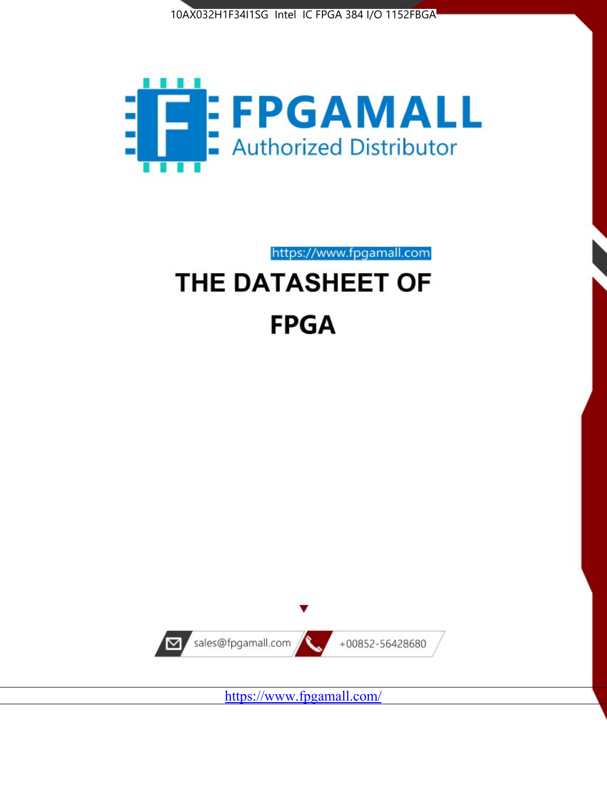



https://www.fpgamall.com THE DATASHEET OF

# **FPGA**



<https://www.fpgamall.com/>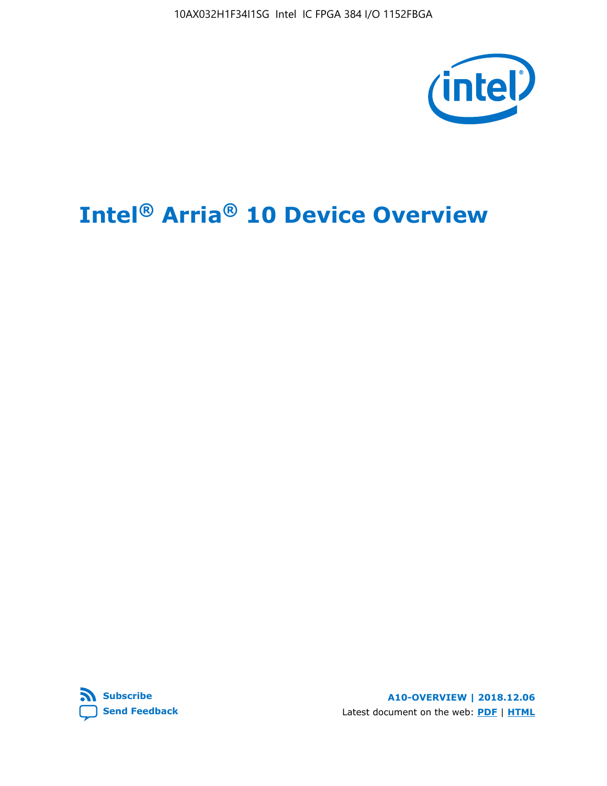

# **Intel® Arria® 10 Device Overview**



**A10-OVERVIEW | 2018.12.06** Latest document on the web: **[PDF](https://www.intel.com/content/dam/www/programmable/us/en/pdfs/literature/hb/arria-10/a10_overview.pdf)** | **[HTML](https://www.intel.com/content/www/us/en/programmable/documentation/sam1403480274650.html)**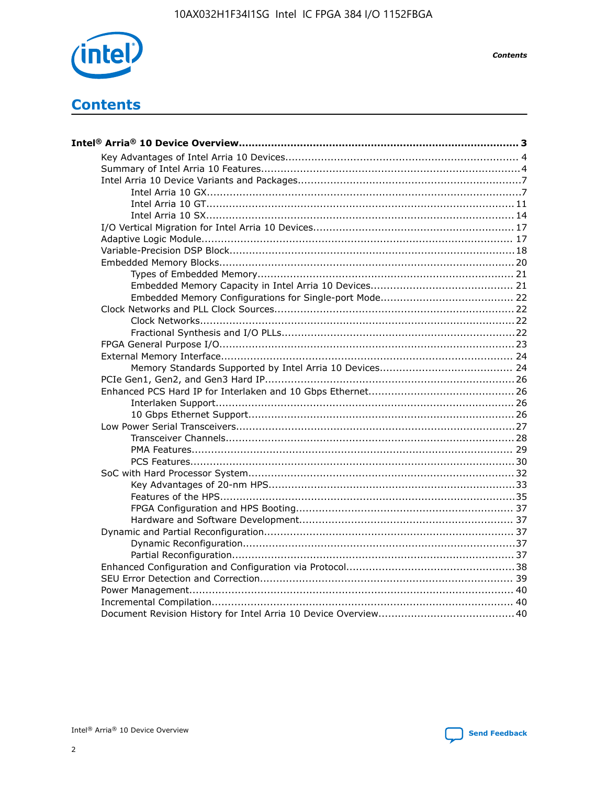

**Contents** 

## **Contents**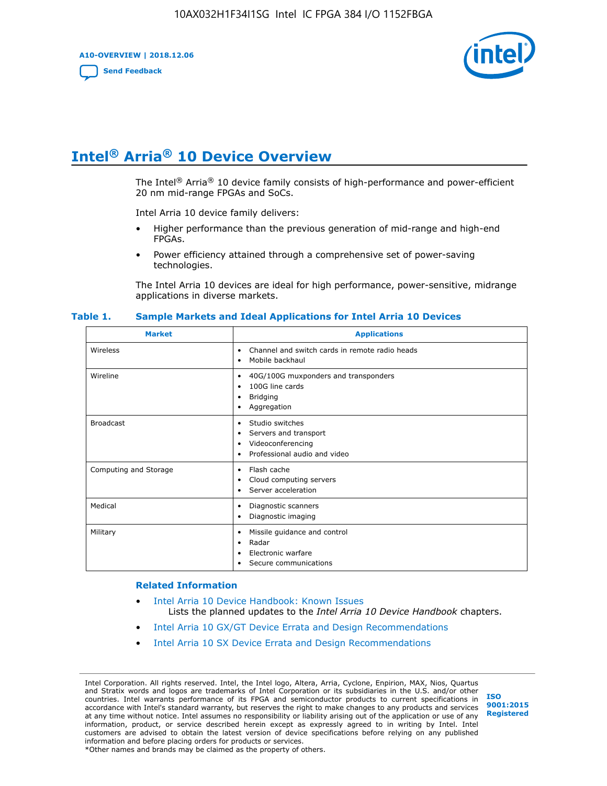**A10-OVERVIEW | 2018.12.06**

**[Send Feedback](mailto:FPGAtechdocfeedback@intel.com?subject=Feedback%20on%20Intel%20Arria%2010%20Device%20Overview%20(A10-OVERVIEW%202018.12.06)&body=We%20appreciate%20your%20feedback.%20In%20your%20comments,%20also%20specify%20the%20page%20number%20or%20paragraph.%20Thank%20you.)**



## **Intel® Arria® 10 Device Overview**

The Intel<sup>®</sup> Arria<sup>®</sup> 10 device family consists of high-performance and power-efficient 20 nm mid-range FPGAs and SoCs.

Intel Arria 10 device family delivers:

- Higher performance than the previous generation of mid-range and high-end FPGAs.
- Power efficiency attained through a comprehensive set of power-saving technologies.

The Intel Arria 10 devices are ideal for high performance, power-sensitive, midrange applications in diverse markets.

| <b>Market</b>         | <b>Applications</b>                                                                                               |
|-----------------------|-------------------------------------------------------------------------------------------------------------------|
| Wireless              | Channel and switch cards in remote radio heads<br>٠<br>Mobile backhaul<br>٠                                       |
| Wireline              | 40G/100G muxponders and transponders<br>٠<br>100G line cards<br>٠<br><b>Bridging</b><br>٠<br>Aggregation<br>٠     |
| <b>Broadcast</b>      | Studio switches<br>٠<br>Servers and transport<br>٠<br>Videoconferencing<br>٠<br>Professional audio and video<br>٠ |
| Computing and Storage | Flash cache<br>٠<br>Cloud computing servers<br>٠<br>Server acceleration<br>٠                                      |
| Medical               | Diagnostic scanners<br>٠<br>Diagnostic imaging<br>٠                                                               |
| Military              | Missile guidance and control<br>٠<br>Radar<br>٠<br>Electronic warfare<br>٠<br>Secure communications<br>٠          |

#### **Table 1. Sample Markets and Ideal Applications for Intel Arria 10 Devices**

#### **Related Information**

- [Intel Arria 10 Device Handbook: Known Issues](http://www.altera.com/support/kdb/solutions/rd07302013_646.html) Lists the planned updates to the *Intel Arria 10 Device Handbook* chapters.
- [Intel Arria 10 GX/GT Device Errata and Design Recommendations](https://www.intel.com/content/www/us/en/programmable/documentation/agz1493851706374.html#yqz1494433888646)
- [Intel Arria 10 SX Device Errata and Design Recommendations](https://www.intel.com/content/www/us/en/programmable/documentation/cru1462832385668.html#cru1462832558642)

Intel Corporation. All rights reserved. Intel, the Intel logo, Altera, Arria, Cyclone, Enpirion, MAX, Nios, Quartus and Stratix words and logos are trademarks of Intel Corporation or its subsidiaries in the U.S. and/or other countries. Intel warrants performance of its FPGA and semiconductor products to current specifications in accordance with Intel's standard warranty, but reserves the right to make changes to any products and services at any time without notice. Intel assumes no responsibility or liability arising out of the application or use of any information, product, or service described herein except as expressly agreed to in writing by Intel. Intel customers are advised to obtain the latest version of device specifications before relying on any published information and before placing orders for products or services. \*Other names and brands may be claimed as the property of others.

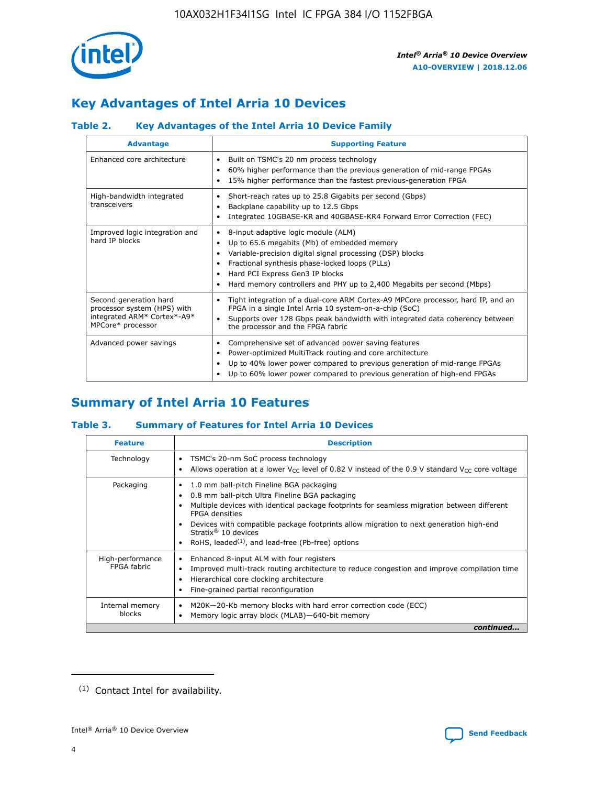

### **Key Advantages of Intel Arria 10 Devices**

### **Table 2. Key Advantages of the Intel Arria 10 Device Family**

| <b>Advantage</b>                                                                                          | <b>Supporting Feature</b>                                                                                                                                                                                                                                                                                                |
|-----------------------------------------------------------------------------------------------------------|--------------------------------------------------------------------------------------------------------------------------------------------------------------------------------------------------------------------------------------------------------------------------------------------------------------------------|
| Enhanced core architecture                                                                                | Built on TSMC's 20 nm process technology<br>٠<br>60% higher performance than the previous generation of mid-range FPGAs<br>٠<br>15% higher performance than the fastest previous-generation FPGA<br>٠                                                                                                                    |
| High-bandwidth integrated<br>transceivers                                                                 | Short-reach rates up to 25.8 Gigabits per second (Gbps)<br>٠<br>Backplane capability up to 12.5 Gbps<br>٠<br>Integrated 10GBASE-KR and 40GBASE-KR4 Forward Error Correction (FEC)<br>٠                                                                                                                                   |
| Improved logic integration and<br>hard IP blocks                                                          | 8-input adaptive logic module (ALM)<br>٠<br>Up to 65.6 megabits (Mb) of embedded memory<br>٠<br>Variable-precision digital signal processing (DSP) blocks<br>Fractional synthesis phase-locked loops (PLLs)<br>Hard PCI Express Gen3 IP blocks<br>Hard memory controllers and PHY up to 2,400 Megabits per second (Mbps) |
| Second generation hard<br>processor system (HPS) with<br>integrated ARM* Cortex*-A9*<br>MPCore* processor | Tight integration of a dual-core ARM Cortex-A9 MPCore processor, hard IP, and an<br>٠<br>FPGA in a single Intel Arria 10 system-on-a-chip (SoC)<br>Supports over 128 Gbps peak bandwidth with integrated data coherency between<br>$\bullet$<br>the processor and the FPGA fabric                                        |
| Advanced power savings                                                                                    | Comprehensive set of advanced power saving features<br>٠<br>Power-optimized MultiTrack routing and core architecture<br>٠<br>Up to 40% lower power compared to previous generation of mid-range FPGAs<br>٠<br>Up to 60% lower power compared to previous generation of high-end FPGAs<br>٠                               |

### **Summary of Intel Arria 10 Features**

### **Table 3. Summary of Features for Intel Arria 10 Devices**

| <b>Feature</b>                  | <b>Description</b>                                                                                                                                                                                                                                                                                                                                                                                           |
|---------------------------------|--------------------------------------------------------------------------------------------------------------------------------------------------------------------------------------------------------------------------------------------------------------------------------------------------------------------------------------------------------------------------------------------------------------|
| Technology                      | TSMC's 20-nm SoC process technology<br>Allows operation at a lower $V_{\text{CC}}$ level of 0.82 V instead of the 0.9 V standard $V_{\text{CC}}$ core voltage                                                                                                                                                                                                                                                |
| Packaging                       | 1.0 mm ball-pitch Fineline BGA packaging<br>٠<br>0.8 mm ball-pitch Ultra Fineline BGA packaging<br>Multiple devices with identical package footprints for seamless migration between different<br><b>FPGA</b> densities<br>Devices with compatible package footprints allow migration to next generation high-end<br>Stratix <sup>®</sup> 10 devices<br>RoHS, leaded $(1)$ , and lead-free (Pb-free) options |
| High-performance<br>FPGA fabric | Enhanced 8-input ALM with four registers<br>Improved multi-track routing architecture to reduce congestion and improve compilation time<br>Hierarchical core clocking architecture<br>Fine-grained partial reconfiguration                                                                                                                                                                                   |
| Internal memory<br>blocks       | M20K-20-Kb memory blocks with hard error correction code (ECC)<br>Memory logic array block (MLAB)-640-bit memory                                                                                                                                                                                                                                                                                             |
|                                 | continued                                                                                                                                                                                                                                                                                                                                                                                                    |



<sup>(1)</sup> Contact Intel for availability.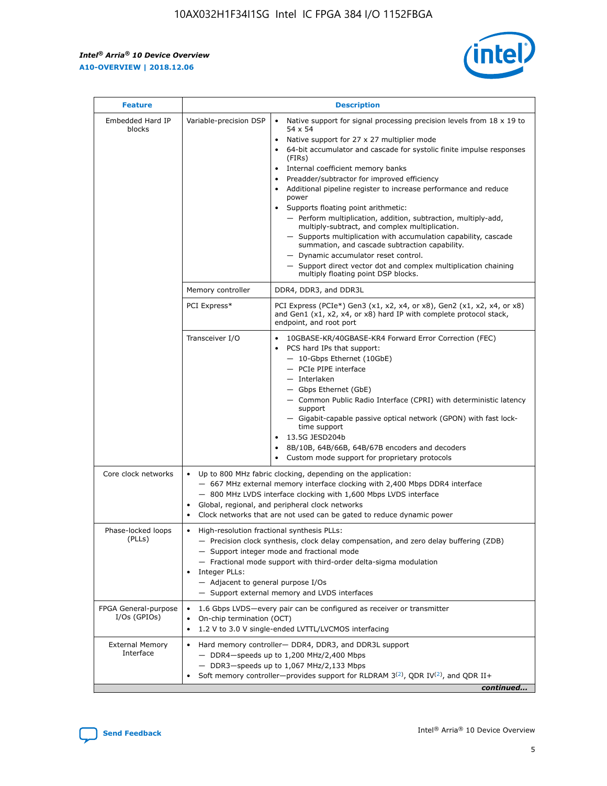$\mathsf{r}$ 



| <b>Feature</b>                         |                                                                                                                | <b>Description</b>                                                                                                                                                                                                                                                                                                                                                                                                                                                                                                                                                                                                                                                                                                                                                                                                                          |
|----------------------------------------|----------------------------------------------------------------------------------------------------------------|---------------------------------------------------------------------------------------------------------------------------------------------------------------------------------------------------------------------------------------------------------------------------------------------------------------------------------------------------------------------------------------------------------------------------------------------------------------------------------------------------------------------------------------------------------------------------------------------------------------------------------------------------------------------------------------------------------------------------------------------------------------------------------------------------------------------------------------------|
| Embedded Hard IP<br>blocks             | Variable-precision DSP                                                                                         | Native support for signal processing precision levels from $18 \times 19$ to<br>$\bullet$<br>54 x 54<br>Native support for 27 x 27 multiplier mode<br>64-bit accumulator and cascade for systolic finite impulse responses<br>(FIRs)<br>Internal coefficient memory banks<br>٠<br>Preadder/subtractor for improved efficiency<br>Additional pipeline register to increase performance and reduce<br>power<br>Supports floating point arithmetic:<br>- Perform multiplication, addition, subtraction, multiply-add,<br>multiply-subtract, and complex multiplication.<br>- Supports multiplication with accumulation capability, cascade<br>summation, and cascade subtraction capability.<br>- Dynamic accumulator reset control.<br>- Support direct vector dot and complex multiplication chaining<br>multiply floating point DSP blocks. |
|                                        | Memory controller                                                                                              | DDR4, DDR3, and DDR3L                                                                                                                                                                                                                                                                                                                                                                                                                                                                                                                                                                                                                                                                                                                                                                                                                       |
|                                        | PCI Express*                                                                                                   | PCI Express (PCIe*) Gen3 (x1, x2, x4, or x8), Gen2 (x1, x2, x4, or x8)<br>and Gen1 (x1, x2, x4, or x8) hard IP with complete protocol stack,<br>endpoint, and root port                                                                                                                                                                                                                                                                                                                                                                                                                                                                                                                                                                                                                                                                     |
|                                        | Transceiver I/O                                                                                                | 10GBASE-KR/40GBASE-KR4 Forward Error Correction (FEC)<br>PCS hard IPs that support:<br>- 10-Gbps Ethernet (10GbE)<br>- PCIe PIPE interface<br>- Interlaken<br>- Gbps Ethernet (GbE)<br>- Common Public Radio Interface (CPRI) with deterministic latency<br>support<br>- Gigabit-capable passive optical network (GPON) with fast lock-<br>time support<br>13.5G JESD204b<br>$\bullet$<br>8B/10B, 64B/66B, 64B/67B encoders and decoders<br>Custom mode support for proprietary protocols                                                                                                                                                                                                                                                                                                                                                   |
| Core clock networks                    | $\bullet$<br>$\bullet$                                                                                         | Up to 800 MHz fabric clocking, depending on the application:<br>- 667 MHz external memory interface clocking with 2,400 Mbps DDR4 interface<br>- 800 MHz LVDS interface clocking with 1,600 Mbps LVDS interface<br>Global, regional, and peripheral clock networks<br>Clock networks that are not used can be gated to reduce dynamic power                                                                                                                                                                                                                                                                                                                                                                                                                                                                                                 |
| Phase-locked loops<br>(PLLs)           | High-resolution fractional synthesis PLLs:<br>$\bullet$<br>Integer PLLs:<br>- Adjacent to general purpose I/Os | - Precision clock synthesis, clock delay compensation, and zero delay buffering (ZDB)<br>- Support integer mode and fractional mode<br>- Fractional mode support with third-order delta-sigma modulation<br>- Support external memory and LVDS interfaces                                                                                                                                                                                                                                                                                                                                                                                                                                                                                                                                                                                   |
| FPGA General-purpose<br>$I/Os$ (GPIOs) | On-chip termination (OCT)<br>$\bullet$                                                                         | 1.6 Gbps LVDS-every pair can be configured as receiver or transmitter<br>1.2 V to 3.0 V single-ended LVTTL/LVCMOS interfacing                                                                                                                                                                                                                                                                                                                                                                                                                                                                                                                                                                                                                                                                                                               |
| <b>External Memory</b><br>Interface    |                                                                                                                | Hard memory controller- DDR4, DDR3, and DDR3L support<br>$-$ DDR4 $-$ speeds up to 1,200 MHz/2,400 Mbps<br>- DDR3-speeds up to 1,067 MHz/2,133 Mbps<br>Soft memory controller—provides support for RLDRAM $3^{(2)}$ , QDR IV $(2^2)$ , and QDR II+<br>continued                                                                                                                                                                                                                                                                                                                                                                                                                                                                                                                                                                             |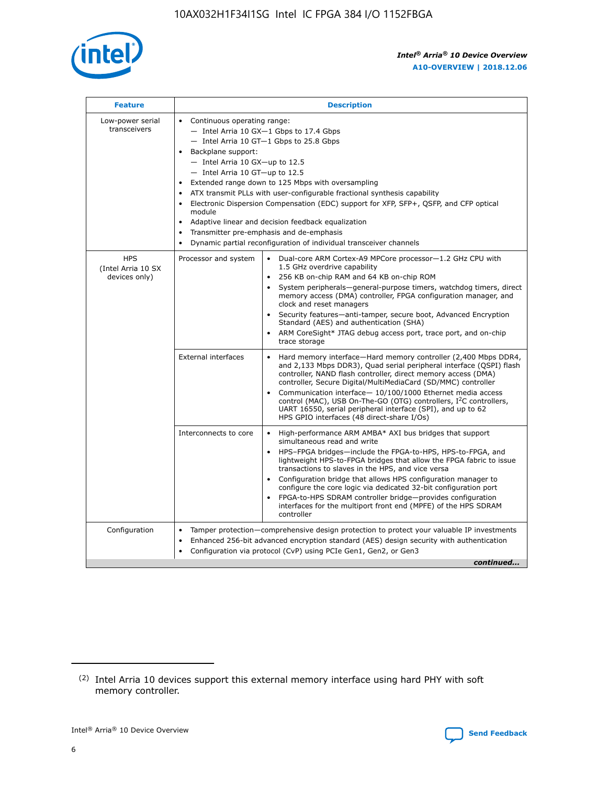

| <b>Feature</b>                                    | <b>Description</b>                                                                                                                                                                                                                                                                                                                                                                                                                                                                                                                                                                                                                                                 |
|---------------------------------------------------|--------------------------------------------------------------------------------------------------------------------------------------------------------------------------------------------------------------------------------------------------------------------------------------------------------------------------------------------------------------------------------------------------------------------------------------------------------------------------------------------------------------------------------------------------------------------------------------------------------------------------------------------------------------------|
| Low-power serial<br>transceivers                  | • Continuous operating range:<br>- Intel Arria 10 GX-1 Gbps to 17.4 Gbps<br>- Intel Arria 10 GT-1 Gbps to 25.8 Gbps<br>Backplane support:<br>$-$ Intel Arria 10 GX-up to 12.5<br>- Intel Arria 10 GT-up to 12.5<br>Extended range down to 125 Mbps with oversampling<br>ATX transmit PLLs with user-configurable fractional synthesis capability<br>$\bullet$<br>Electronic Dispersion Compensation (EDC) support for XFP, SFP+, OSFP, and CFP optical<br>module<br>Adaptive linear and decision feedback equalization<br>$\bullet$<br>Transmitter pre-emphasis and de-emphasis<br>$\bullet$<br>Dynamic partial reconfiguration of individual transceiver channels |
| <b>HPS</b><br>(Intel Arria 10 SX<br>devices only) | • Dual-core ARM Cortex-A9 MPCore processor-1.2 GHz CPU with<br>Processor and system<br>1.5 GHz overdrive capability<br>256 KB on-chip RAM and 64 KB on-chip ROM<br>$\bullet$<br>System peripherals—general-purpose timers, watchdog timers, direct<br>memory access (DMA) controller, FPGA configuration manager, and<br>clock and reset managers<br>Security features—anti-tamper, secure boot, Advanced Encryption<br>$\bullet$<br>Standard (AES) and authentication (SHA)<br>ARM CoreSight* JTAG debug access port, trace port, and on-chip<br>$\bullet$<br>trace storage                                                                                       |
|                                                   | <b>External interfaces</b><br>Hard memory interface-Hard memory controller (2,400 Mbps DDR4,<br>$\bullet$<br>and 2,133 Mbps DDR3), Quad serial peripheral interface (QSPI) flash<br>controller, NAND flash controller, direct memory access (DMA)<br>controller, Secure Digital/MultiMediaCard (SD/MMC) controller<br>Communication interface-10/100/1000 Ethernet media access<br>$\bullet$<br>control (MAC), USB On-The-GO (OTG) controllers, I <sup>2</sup> C controllers,<br>UART 16550, serial peripheral interface (SPI), and up to 62<br>HPS GPIO interfaces (48 direct-share I/Os)                                                                         |
|                                                   | Interconnects to core<br>High-performance ARM AMBA* AXI bus bridges that support<br>$\bullet$<br>simultaneous read and write<br>HPS-FPGA bridges-include the FPGA-to-HPS, HPS-to-FPGA, and<br>$\bullet$<br>lightweight HPS-to-FPGA bridges that allow the FPGA fabric to issue<br>transactions to slaves in the HPS, and vice versa<br>Configuration bridge that allows HPS configuration manager to<br>configure the core logic via dedicated 32-bit configuration port<br>FPGA-to-HPS SDRAM controller bridge-provides configuration<br>interfaces for the multiport front end (MPFE) of the HPS SDRAM<br>controller                                             |
| Configuration                                     | Tamper protection—comprehensive design protection to protect your valuable IP investments<br>Enhanced 256-bit advanced encryption standard (AES) design security with authentication<br>٠<br>Configuration via protocol (CvP) using PCIe Gen1, Gen2, or Gen3<br>continued                                                                                                                                                                                                                                                                                                                                                                                          |

<sup>(2)</sup> Intel Arria 10 devices support this external memory interface using hard PHY with soft memory controller.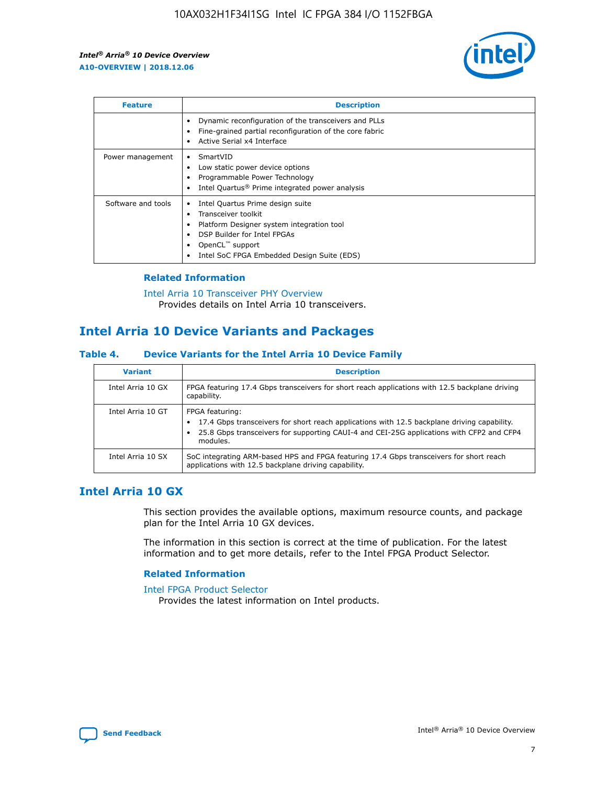

| <b>Feature</b>     | <b>Description</b>                                                                                                                                                                                               |
|--------------------|------------------------------------------------------------------------------------------------------------------------------------------------------------------------------------------------------------------|
|                    | Dynamic reconfiguration of the transceivers and PLLs<br>Fine-grained partial reconfiguration of the core fabric<br>Active Serial x4 Interface<br>$\bullet$                                                       |
| Power management   | SmartVID<br>Low static power device options<br>Programmable Power Technology<br>Intel Quartus <sup>®</sup> Prime integrated power analysis                                                                       |
| Software and tools | Intel Quartus Prime design suite<br>Transceiver toolkit<br>Platform Designer system integration tool<br>DSP Builder for Intel FPGAs<br>OpenCL <sup>™</sup> support<br>Intel SoC FPGA Embedded Design Suite (EDS) |

### **Related Information**

[Intel Arria 10 Transceiver PHY Overview](https://www.intel.com/content/www/us/en/programmable/documentation/nik1398707230472.html#nik1398706768037) Provides details on Intel Arria 10 transceivers.

### **Intel Arria 10 Device Variants and Packages**

#### **Table 4. Device Variants for the Intel Arria 10 Device Family**

| <b>Variant</b>    | <b>Description</b>                                                                                                                                                                                                     |
|-------------------|------------------------------------------------------------------------------------------------------------------------------------------------------------------------------------------------------------------------|
| Intel Arria 10 GX | FPGA featuring 17.4 Gbps transceivers for short reach applications with 12.5 backplane driving<br>capability.                                                                                                          |
| Intel Arria 10 GT | FPGA featuring:<br>17.4 Gbps transceivers for short reach applications with 12.5 backplane driving capability.<br>25.8 Gbps transceivers for supporting CAUI-4 and CEI-25G applications with CFP2 and CFP4<br>modules. |
| Intel Arria 10 SX | SoC integrating ARM-based HPS and FPGA featuring 17.4 Gbps transceivers for short reach<br>applications with 12.5 backplane driving capability.                                                                        |

### **Intel Arria 10 GX**

This section provides the available options, maximum resource counts, and package plan for the Intel Arria 10 GX devices.

The information in this section is correct at the time of publication. For the latest information and to get more details, refer to the Intel FPGA Product Selector.

#### **Related Information**

#### [Intel FPGA Product Selector](http://www.altera.com/products/selector/psg-selector.html) Provides the latest information on Intel products.

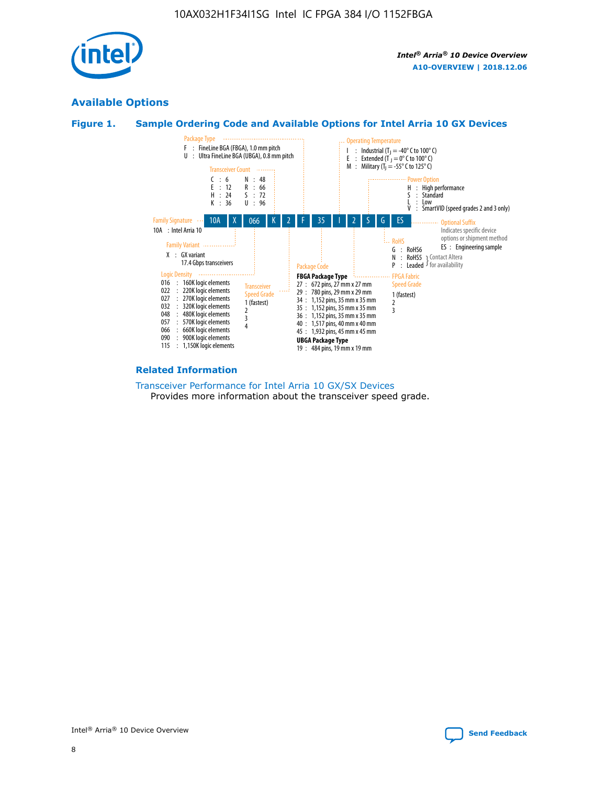

### **Available Options**





#### **Related Information**

[Transceiver Performance for Intel Arria 10 GX/SX Devices](https://www.intel.com/content/www/us/en/programmable/documentation/mcn1413182292568.html#mcn1413213965502) Provides more information about the transceiver speed grade.

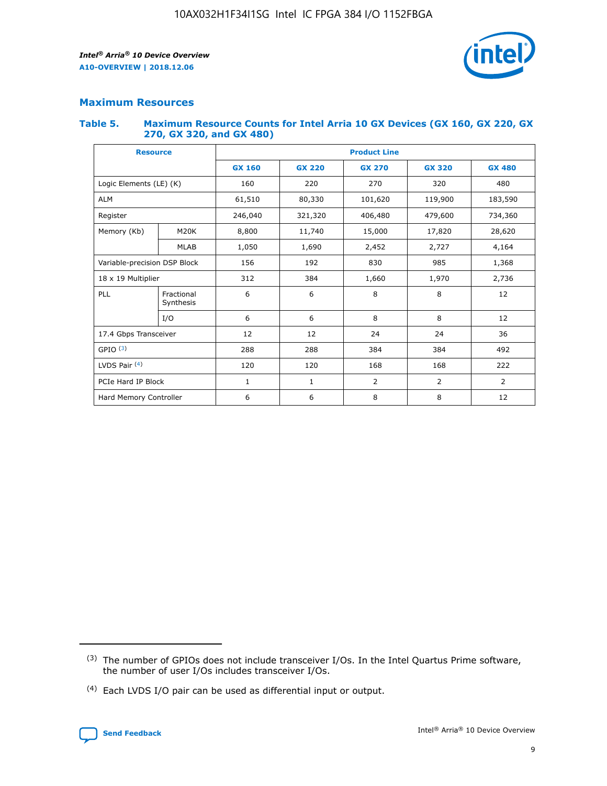

### **Maximum Resources**

#### **Table 5. Maximum Resource Counts for Intel Arria 10 GX Devices (GX 160, GX 220, GX 270, GX 320, and GX 480)**

| <b>Resource</b>         |                                                          | <b>Product Line</b> |                                                 |            |                |                |  |  |  |
|-------------------------|----------------------------------------------------------|---------------------|-------------------------------------------------|------------|----------------|----------------|--|--|--|
|                         |                                                          | <b>GX 160</b>       | <b>GX 220</b><br><b>GX 270</b><br><b>GX 320</b> |            |                | <b>GX 480</b>  |  |  |  |
| Logic Elements (LE) (K) |                                                          | 160                 | 220                                             | 270        | 320            | 480            |  |  |  |
| <b>ALM</b>              |                                                          | 61,510              | 80,330                                          | 101,620    | 119,900        | 183,590        |  |  |  |
| Register                |                                                          | 246,040             | 321,320                                         | 406,480    | 479,600        | 734,360        |  |  |  |
| Memory (Kb)             | M <sub>20</sub> K                                        | 8,800               | 11,740                                          | 15,000     | 17,820         | 28,620         |  |  |  |
| <b>MLAB</b>             |                                                          | 1,050               | 1,690                                           | 2,452      |                | 4,164          |  |  |  |
|                         | Variable-precision DSP Block<br>156<br>192<br>830<br>985 |                     |                                                 |            | 1,368          |                |  |  |  |
| 18 x 19 Multiplier      |                                                          | 312                 | 384                                             | 1,660      | 1,970          | 2,736          |  |  |  |
| PLL                     | Fractional<br>Synthesis                                  | 6                   | 6                                               | 8          | 8              | 12             |  |  |  |
|                         | I/O                                                      | 6                   | 6                                               | 8          | 8              | 12             |  |  |  |
| 17.4 Gbps Transceiver   |                                                          | 12                  | 12                                              | 24         | 24             |                |  |  |  |
| GPIO <sup>(3)</sup>     |                                                          | 288                 | 288                                             | 384<br>384 |                | 492            |  |  |  |
| LVDS Pair $(4)$         |                                                          | 120                 | 120                                             | 168        | 168            | 222            |  |  |  |
| PCIe Hard IP Block      |                                                          | 1                   | 1                                               | 2          | $\overline{2}$ | $\overline{2}$ |  |  |  |
| Hard Memory Controller  |                                                          | 6                   | 6                                               | 8          | 8              | 12             |  |  |  |

<sup>(4)</sup> Each LVDS I/O pair can be used as differential input or output.



<sup>(3)</sup> The number of GPIOs does not include transceiver I/Os. In the Intel Quartus Prime software, the number of user I/Os includes transceiver I/Os.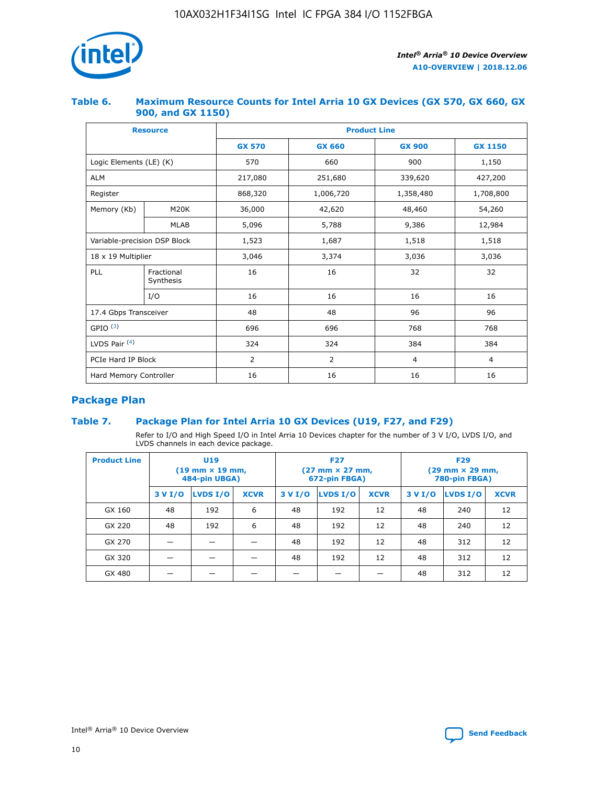

### **Table 6. Maximum Resource Counts for Intel Arria 10 GX Devices (GX 570, GX 660, GX 900, and GX 1150)**

|                              | <b>Resource</b>         | <b>Product Line</b> |                |                |                |  |  |  |
|------------------------------|-------------------------|---------------------|----------------|----------------|----------------|--|--|--|
|                              |                         | <b>GX 570</b>       | <b>GX 660</b>  |                | <b>GX 1150</b> |  |  |  |
| Logic Elements (LE) (K)      |                         | 570                 | 660            | 900            | 1,150          |  |  |  |
| <b>ALM</b>                   |                         | 217,080             | 251,680        | 339,620        | 427,200        |  |  |  |
| Register                     |                         | 868,320             | 1,006,720      | 1,358,480      | 1,708,800      |  |  |  |
| Memory (Kb)                  | <b>M20K</b>             | 36,000              | 42,620         | 48,460         | 54,260         |  |  |  |
|                              | <b>MLAB</b>             | 5,096               | 5,788<br>9,386 |                | 12,984         |  |  |  |
| Variable-precision DSP Block |                         | 1,523               | 1,687          | 1,518          | 1,518          |  |  |  |
| $18 \times 19$ Multiplier    |                         | 3,046               | 3,374          | 3,036          | 3,036          |  |  |  |
| PLL                          | Fractional<br>Synthesis | 16                  | 16             | 32             | 32             |  |  |  |
|                              | I/O                     | 16                  | 16             | 16             | 16             |  |  |  |
| 17.4 Gbps Transceiver        |                         | 48                  | 48             |                | 96             |  |  |  |
| GPIO <sup>(3)</sup>          |                         | 696                 | 696            | 768            | 768            |  |  |  |
| LVDS Pair $(4)$              |                         | 324                 | 324            | 384            | 384            |  |  |  |
| PCIe Hard IP Block           |                         | 2                   | $\overline{2}$ | $\overline{4}$ | 4              |  |  |  |
| Hard Memory Controller       |                         | 16                  | 16             | 16             | 16             |  |  |  |

### **Package Plan**

### **Table 7. Package Plan for Intel Arria 10 GX Devices (U19, F27, and F29)**

Refer to I/O and High Speed I/O in Intel Arria 10 Devices chapter for the number of 3 V I/O, LVDS I/O, and LVDS channels in each device package.

| <b>Product Line</b> | U <sub>19</sub><br>$(19 \text{ mm} \times 19 \text{ mm})$<br>484-pin UBGA) |          |             |         | <b>F27</b><br>(27 mm × 27 mm,<br>672-pin FBGA) |             | <b>F29</b><br>(29 mm × 29 mm,<br>780-pin FBGA) |          |             |  |
|---------------------|----------------------------------------------------------------------------|----------|-------------|---------|------------------------------------------------|-------------|------------------------------------------------|----------|-------------|--|
|                     | 3 V I/O                                                                    | LVDS I/O | <b>XCVR</b> | 3 V I/O | <b>LVDS I/O</b>                                | <b>XCVR</b> | 3 V I/O                                        | LVDS I/O | <b>XCVR</b> |  |
| GX 160              | 48                                                                         | 192      | 6           | 48      | 192                                            | 12          | 48                                             | 240      | 12          |  |
| GX 220              | 48                                                                         | 192      | 6           | 48      | 192                                            | 12          | 48                                             | 240      | 12          |  |
| GX 270              |                                                                            |          |             | 48      | 192                                            | 12          | 48                                             | 312      | 12          |  |
| GX 320              |                                                                            |          |             | 48      | 192                                            | 12          | 48                                             | 312      | 12          |  |
| GX 480              |                                                                            |          |             |         |                                                |             | 48                                             | 312      | 12          |  |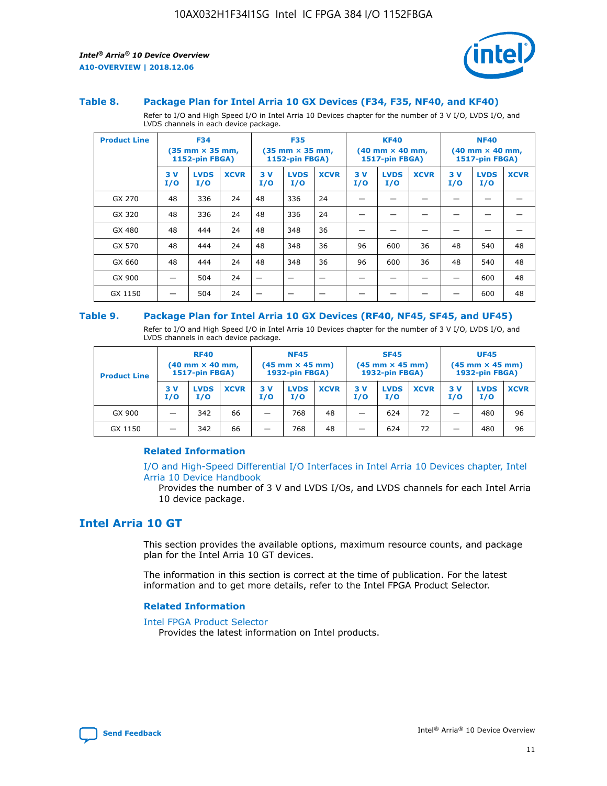



#### **Table 8. Package Plan for Intel Arria 10 GX Devices (F34, F35, NF40, and KF40)**

Refer to I/O and High Speed I/O in Intel Arria 10 Devices chapter for the number of 3 V I/O, LVDS I/O, and LVDS channels in each device package.

| <b>Product Line</b> | <b>F34</b><br>$(35 \text{ mm} \times 35 \text{ mm})$<br>1152-pin FBGA) |                    | <b>F35</b><br>$(35 \text{ mm} \times 35 \text{ mm})$<br><b>1152-pin FBGA)</b> |           | <b>KF40</b><br>$(40$ mm $\times$ 40 mm,<br>1517-pin FBGA) |             |           | <b>NF40</b><br>$(40$ mm $\times$ 40 mm,<br><b>1517-pin FBGA)</b> |             |            |                    |             |
|---------------------|------------------------------------------------------------------------|--------------------|-------------------------------------------------------------------------------|-----------|-----------------------------------------------------------|-------------|-----------|------------------------------------------------------------------|-------------|------------|--------------------|-------------|
|                     | 3V<br>I/O                                                              | <b>LVDS</b><br>I/O | <b>XCVR</b>                                                                   | 3V<br>I/O | <b>LVDS</b><br>I/O                                        | <b>XCVR</b> | 3V<br>I/O | <b>LVDS</b><br>I/O                                               | <b>XCVR</b> | 3 V<br>I/O | <b>LVDS</b><br>I/O | <b>XCVR</b> |
| GX 270              | 48                                                                     | 336                | 24                                                                            | 48        | 336                                                       | 24          |           |                                                                  |             |            |                    |             |
| GX 320              | 48                                                                     | 336                | 24                                                                            | 48        | 336                                                       | 24          |           |                                                                  |             |            |                    |             |
| GX 480              | 48                                                                     | 444                | 24                                                                            | 48        | 348                                                       | 36          |           |                                                                  |             |            |                    |             |
| GX 570              | 48                                                                     | 444                | 24                                                                            | 48        | 348                                                       | 36          | 96        | 600                                                              | 36          | 48         | 540                | 48          |
| GX 660              | 48                                                                     | 444                | 24                                                                            | 48        | 348                                                       | 36          | 96        | 600                                                              | 36          | 48         | 540                | 48          |
| GX 900              |                                                                        | 504                | 24                                                                            | -         |                                                           |             |           |                                                                  |             |            | 600                | 48          |
| GX 1150             |                                                                        | 504                | 24                                                                            |           |                                                           |             |           |                                                                  |             |            | 600                | 48          |

#### **Table 9. Package Plan for Intel Arria 10 GX Devices (RF40, NF45, SF45, and UF45)**

Refer to I/O and High Speed I/O in Intel Arria 10 Devices chapter for the number of 3 V I/O, LVDS I/O, and LVDS channels in each device package.

| <b>Product Line</b> | <b>RF40</b><br>$(40$ mm $\times$ 40 mm,<br>1517-pin FBGA) |                    | <b>NF45</b><br>$(45 \text{ mm} \times 45 \text{ mm})$<br><b>1932-pin FBGA)</b> |            |                    | <b>SF45</b><br>$(45 \text{ mm} \times 45 \text{ mm})$<br><b>1932-pin FBGA)</b> |            |                    | <b>UF45</b><br>$(45 \text{ mm} \times 45 \text{ mm})$<br><b>1932-pin FBGA)</b> |           |                    |             |
|---------------------|-----------------------------------------------------------|--------------------|--------------------------------------------------------------------------------|------------|--------------------|--------------------------------------------------------------------------------|------------|--------------------|--------------------------------------------------------------------------------|-----------|--------------------|-------------|
|                     | 3V<br>I/O                                                 | <b>LVDS</b><br>I/O | <b>XCVR</b>                                                                    | 3 V<br>I/O | <b>LVDS</b><br>I/O | <b>XCVR</b>                                                                    | 3 V<br>I/O | <b>LVDS</b><br>I/O | <b>XCVR</b>                                                                    | 3V<br>I/O | <b>LVDS</b><br>I/O | <b>XCVR</b> |
| GX 900              |                                                           | 342                | 66                                                                             | _          | 768                | 48                                                                             |            | 624                | 72                                                                             |           | 480                | 96          |
| GX 1150             |                                                           | 342                | 66                                                                             | _          | 768                | 48                                                                             |            | 624                | 72                                                                             |           | 480                | 96          |

### **Related Information**

[I/O and High-Speed Differential I/O Interfaces in Intel Arria 10 Devices chapter, Intel](https://www.intel.com/content/www/us/en/programmable/documentation/sam1403482614086.html#sam1403482030321) [Arria 10 Device Handbook](https://www.intel.com/content/www/us/en/programmable/documentation/sam1403482614086.html#sam1403482030321)

Provides the number of 3 V and LVDS I/Os, and LVDS channels for each Intel Arria 10 device package.

### **Intel Arria 10 GT**

This section provides the available options, maximum resource counts, and package plan for the Intel Arria 10 GT devices.

The information in this section is correct at the time of publication. For the latest information and to get more details, refer to the Intel FPGA Product Selector.

#### **Related Information**

#### [Intel FPGA Product Selector](http://www.altera.com/products/selector/psg-selector.html)

Provides the latest information on Intel products.

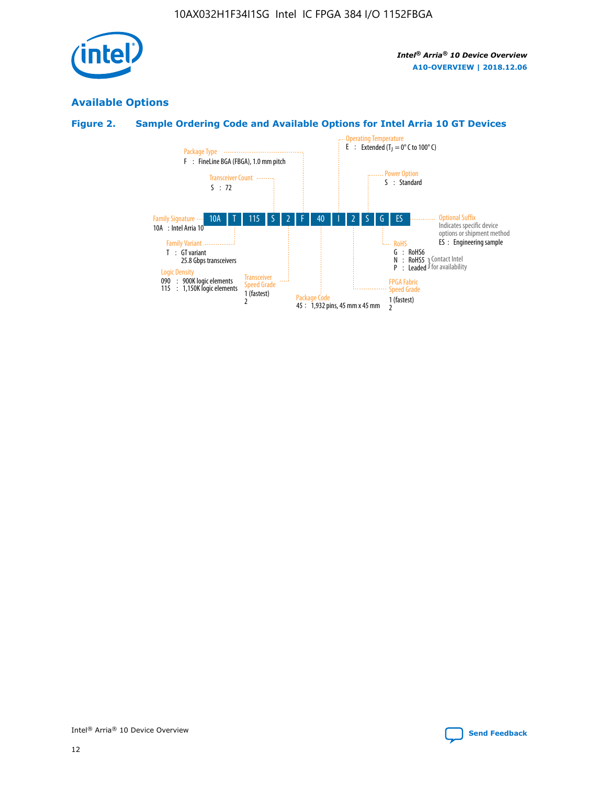

### **Available Options**

### **Figure 2. Sample Ordering Code and Available Options for Intel Arria 10 GT Devices**

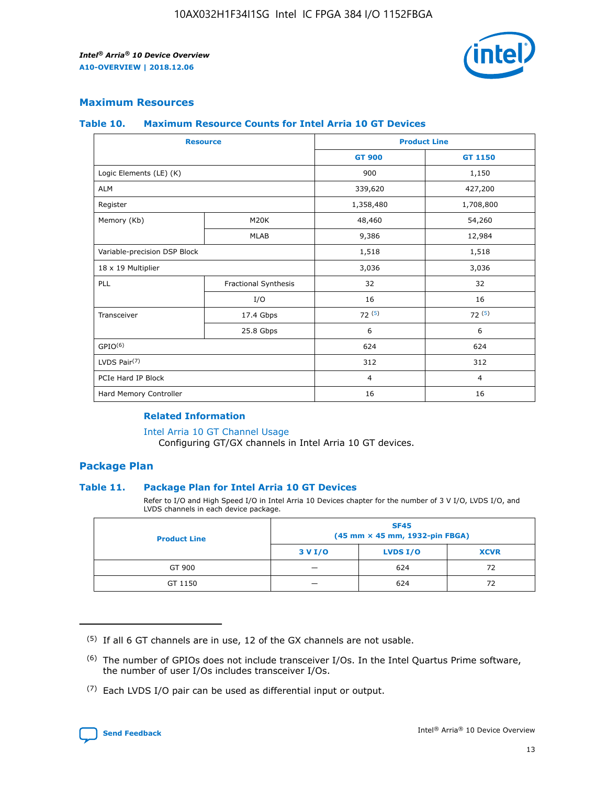

### **Maximum Resources**

#### **Table 10. Maximum Resource Counts for Intel Arria 10 GT Devices**

| <b>Resource</b>              |                      |                | <b>Product Line</b> |  |
|------------------------------|----------------------|----------------|---------------------|--|
|                              |                      | <b>GT 900</b>  | GT 1150             |  |
| Logic Elements (LE) (K)      |                      | 900            | 1,150               |  |
| <b>ALM</b>                   |                      | 339,620        | 427,200             |  |
| Register                     |                      | 1,358,480      | 1,708,800           |  |
| Memory (Kb)                  | M20K                 | 48,460         | 54,260              |  |
|                              | <b>MLAB</b>          | 9,386          | 12,984              |  |
| Variable-precision DSP Block |                      | 1,518          | 1,518               |  |
| 18 x 19 Multiplier           |                      | 3,036          | 3,036               |  |
| <b>PLL</b>                   | Fractional Synthesis | 32             | 32                  |  |
|                              | I/O                  | 16             | 16                  |  |
| Transceiver                  | 17.4 Gbps            | 72(5)          | 72(5)               |  |
|                              | 25.8 Gbps            | 6              | 6                   |  |
| GPIO <sup>(6)</sup>          |                      | 624            | 624                 |  |
| LVDS Pair $(7)$              |                      | 312            | 312                 |  |
| PCIe Hard IP Block           |                      | $\overline{4}$ | $\overline{4}$      |  |
| Hard Memory Controller       |                      | 16             | 16                  |  |

### **Related Information**

#### [Intel Arria 10 GT Channel Usage](https://www.intel.com/content/www/us/en/programmable/documentation/nik1398707230472.html#nik1398707008178)

Configuring GT/GX channels in Intel Arria 10 GT devices.

### **Package Plan**

### **Table 11. Package Plan for Intel Arria 10 GT Devices**

Refer to I/O and High Speed I/O in Intel Arria 10 Devices chapter for the number of 3 V I/O, LVDS I/O, and LVDS channels in each device package.

| <b>Product Line</b> | <b>SF45</b><br>(45 mm × 45 mm, 1932-pin FBGA) |                 |             |  |  |  |
|---------------------|-----------------------------------------------|-----------------|-------------|--|--|--|
|                     | 3 V I/O                                       | <b>LVDS I/O</b> | <b>XCVR</b> |  |  |  |
| GT 900              |                                               | 624             | 72          |  |  |  |
| GT 1150             |                                               | 624             | 72          |  |  |  |

<sup>(7)</sup> Each LVDS I/O pair can be used as differential input or output.



 $(5)$  If all 6 GT channels are in use, 12 of the GX channels are not usable.

<sup>(6)</sup> The number of GPIOs does not include transceiver I/Os. In the Intel Quartus Prime software, the number of user I/Os includes transceiver I/Os.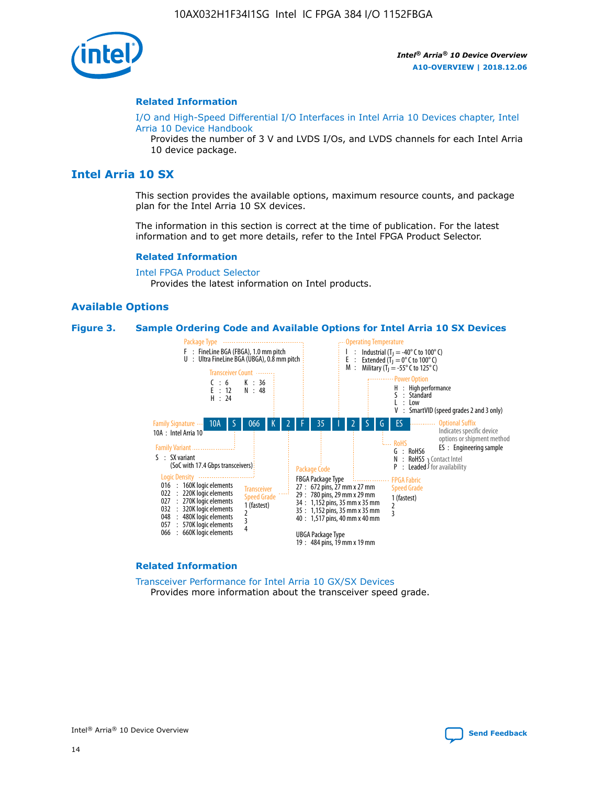

#### **Related Information**

[I/O and High-Speed Differential I/O Interfaces in Intel Arria 10 Devices chapter, Intel](https://www.intel.com/content/www/us/en/programmable/documentation/sam1403482614086.html#sam1403482030321) [Arria 10 Device Handbook](https://www.intel.com/content/www/us/en/programmable/documentation/sam1403482614086.html#sam1403482030321)

Provides the number of 3 V and LVDS I/Os, and LVDS channels for each Intel Arria 10 device package.

### **Intel Arria 10 SX**

This section provides the available options, maximum resource counts, and package plan for the Intel Arria 10 SX devices.

The information in this section is correct at the time of publication. For the latest information and to get more details, refer to the Intel FPGA Product Selector.

#### **Related Information**

[Intel FPGA Product Selector](http://www.altera.com/products/selector/psg-selector.html) Provides the latest information on Intel products.

### **Available Options**

#### **Figure 3. Sample Ordering Code and Available Options for Intel Arria 10 SX Devices**



#### **Related Information**

[Transceiver Performance for Intel Arria 10 GX/SX Devices](https://www.intel.com/content/www/us/en/programmable/documentation/mcn1413182292568.html#mcn1413213965502) Provides more information about the transceiver speed grade.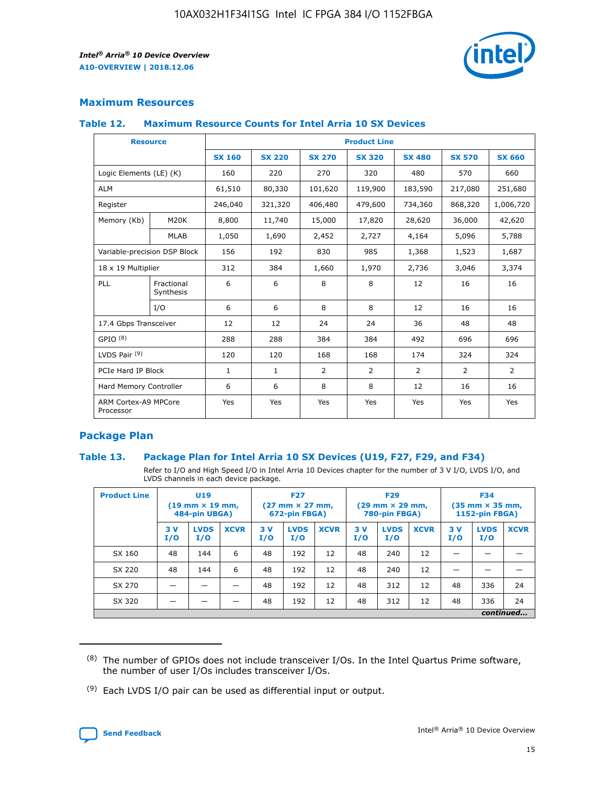

### **Maximum Resources**

#### **Table 12. Maximum Resource Counts for Intel Arria 10 SX Devices**

| <b>Resource</b>                   |                         | <b>Product Line</b> |               |               |                |               |               |               |  |  |  |
|-----------------------------------|-------------------------|---------------------|---------------|---------------|----------------|---------------|---------------|---------------|--|--|--|
|                                   |                         | <b>SX 160</b>       | <b>SX 220</b> | <b>SX 270</b> | <b>SX 320</b>  | <b>SX 480</b> | <b>SX 570</b> | <b>SX 660</b> |  |  |  |
| Logic Elements (LE) (K)           |                         | 160                 | 220           | 270           | 320            | 480           | 570           | 660           |  |  |  |
| <b>ALM</b>                        |                         | 61,510              | 80,330        | 101,620       | 119,900        | 183,590       | 217,080       | 251,680       |  |  |  |
| Register                          |                         | 246,040             | 321,320       | 406,480       | 479,600        | 734,360       | 868,320       | 1,006,720     |  |  |  |
| Memory (Kb)                       | M20K                    | 8,800               | 11,740        | 15,000        | 17,820         | 28,620        | 36,000        | 42,620        |  |  |  |
|                                   | <b>MLAB</b>             | 1,050               | 1,690         | 2,452         | 2,727          | 4,164         | 5,096         | 5,788         |  |  |  |
| Variable-precision DSP Block      |                         | 156                 | 192           | 830           | 985            | 1,368         | 1,523         | 1,687         |  |  |  |
| 18 x 19 Multiplier                |                         | 312                 | 384           | 1,660         | 1,970          | 2,736         | 3,046         | 3,374         |  |  |  |
| PLL                               | Fractional<br>Synthesis | 6                   | 6             | 8             | 8              | 12            | 16            | 16            |  |  |  |
|                                   | I/O                     | 6                   | 6             | 8             | 8              | 12            | 16            | 16            |  |  |  |
| 17.4 Gbps Transceiver             |                         | 12                  | 12            | 24            | 24             | 36            | 48            | 48            |  |  |  |
| GPIO <sup>(8)</sup>               |                         | 288                 | 288           | 384           | 384            | 492           | 696           | 696           |  |  |  |
| LVDS Pair $(9)$                   |                         | 120                 | 120           | 168           | 168            | 174           | 324           | 324           |  |  |  |
|                                   | PCIe Hard IP Block      |                     | $\mathbf{1}$  | 2             | $\overline{2}$ | 2             | 2             | 2             |  |  |  |
| Hard Memory Controller            |                         | 6                   | 6             | 8             | 8              | 12            | 16            | 16            |  |  |  |
| ARM Cortex-A9 MPCore<br>Processor |                         | Yes                 | Yes           | Yes           | Yes            | Yes           | Yes           | Yes           |  |  |  |

### **Package Plan**

### **Table 13. Package Plan for Intel Arria 10 SX Devices (U19, F27, F29, and F34)**

Refer to I/O and High Speed I/O in Intel Arria 10 Devices chapter for the number of 3 V I/O, LVDS I/O, and LVDS channels in each device package.

| <b>Product Line</b> | <b>U19</b><br>$(19$ mm $\times$ 19 mm,<br>484-pin UBGA) |                    |             | <b>F27</b><br>$(27 \text{ mm} \times 27 \text{ mm})$<br>672-pin FBGA) |                    | <b>F29</b><br>$(29 \text{ mm} \times 29 \text{ mm})$<br>780-pin FBGA) |           |                    | <b>F34</b><br>$(35 \text{ mm} \times 35 \text{ mm})$<br><b>1152-pin FBGA)</b> |           |                    |             |
|---------------------|---------------------------------------------------------|--------------------|-------------|-----------------------------------------------------------------------|--------------------|-----------------------------------------------------------------------|-----------|--------------------|-------------------------------------------------------------------------------|-----------|--------------------|-------------|
|                     | 3V<br>I/O                                               | <b>LVDS</b><br>I/O | <b>XCVR</b> | 3V<br>I/O                                                             | <b>LVDS</b><br>I/O | <b>XCVR</b>                                                           | 3V<br>I/O | <b>LVDS</b><br>I/O | <b>XCVR</b>                                                                   | 3V<br>I/O | <b>LVDS</b><br>I/O | <b>XCVR</b> |
| SX 160              | 48                                                      | 144                | 6           | 48                                                                    | 192                | 12                                                                    | 48        | 240                | 12                                                                            | -         |                    |             |
| SX 220              | 48                                                      | 144                | 6           | 48                                                                    | 192                | 12                                                                    | 48        | 240                | 12                                                                            |           |                    |             |
| SX 270              |                                                         |                    |             | 48                                                                    | 192                | 12                                                                    | 48        | 312                | 12                                                                            | 48        | 336                | 24          |
| SX 320              |                                                         |                    |             | 48                                                                    | 192                | 12                                                                    | 48        | 312                | 12                                                                            | 48        | 336                | 24          |
|                     | continued                                               |                    |             |                                                                       |                    |                                                                       |           |                    |                                                                               |           |                    |             |

 $(8)$  The number of GPIOs does not include transceiver I/Os. In the Intel Quartus Prime software, the number of user I/Os includes transceiver I/Os.

 $(9)$  Each LVDS I/O pair can be used as differential input or output.

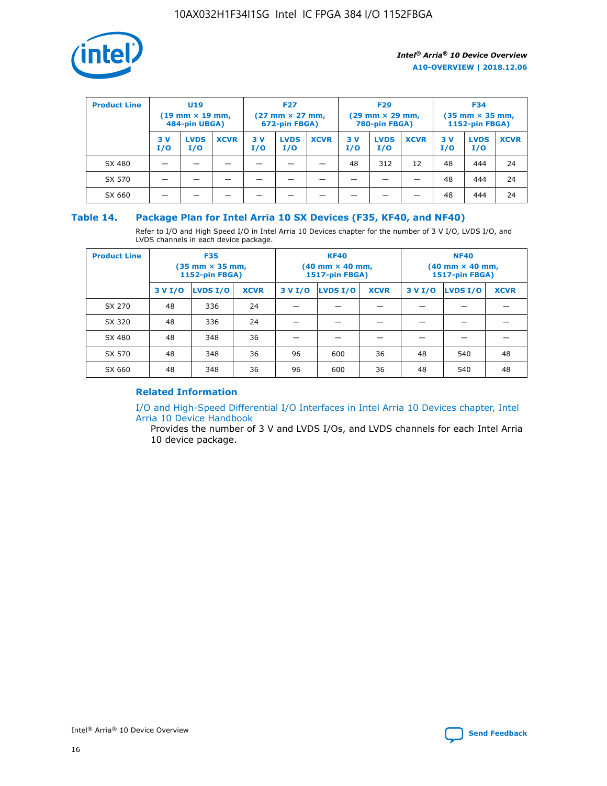

| <b>Product Line</b> | U <sub>19</sub><br>$(19 \text{ mm} \times 19 \text{ mm})$<br>484-pin UBGA) |                    | <b>F27</b><br>$(27 \text{ mm} \times 27 \text{ mm})$<br>672-pin FBGA) |           | <b>F29</b><br>$(29 \text{ mm} \times 29 \text{ mm})$<br>780-pin FBGA) |             |           | <b>F34</b><br>$(35 \text{ mm} \times 35 \text{ mm})$<br><b>1152-pin FBGA)</b> |             |           |                    |             |
|---------------------|----------------------------------------------------------------------------|--------------------|-----------------------------------------------------------------------|-----------|-----------------------------------------------------------------------|-------------|-----------|-------------------------------------------------------------------------------|-------------|-----------|--------------------|-------------|
|                     | 3 V<br>I/O                                                                 | <b>LVDS</b><br>I/O | <b>XCVR</b>                                                           | 3V<br>I/O | <b>LVDS</b><br>I/O                                                    | <b>XCVR</b> | 3V<br>I/O | <b>LVDS</b><br>I/O                                                            | <b>XCVR</b> | 3V<br>I/O | <b>LVDS</b><br>I/O | <b>XCVR</b> |
| SX 480              |                                                                            |                    |                                                                       |           |                                                                       |             | 48        | 312                                                                           | 12          | 48        | 444                | 24          |
| SX 570              |                                                                            |                    |                                                                       |           |                                                                       |             |           |                                                                               |             | 48        | 444                | 24          |
| SX 660              |                                                                            |                    |                                                                       |           |                                                                       |             |           |                                                                               |             | 48        | 444                | 24          |

### **Table 14. Package Plan for Intel Arria 10 SX Devices (F35, KF40, and NF40)**

Refer to I/O and High Speed I/O in Intel Arria 10 Devices chapter for the number of 3 V I/O, LVDS I/O, and LVDS channels in each device package.

| <b>Product Line</b> | <b>F35</b><br>$(35 \text{ mm} \times 35 \text{ mm})$<br><b>1152-pin FBGA)</b> |          |             |                                           | <b>KF40</b><br>(40 mm × 40 mm,<br>1517-pin FBGA) |    | <b>NF40</b><br>$(40 \text{ mm} \times 40 \text{ mm})$<br>1517-pin FBGA) |          |             |  |
|---------------------|-------------------------------------------------------------------------------|----------|-------------|-------------------------------------------|--------------------------------------------------|----|-------------------------------------------------------------------------|----------|-------------|--|
|                     | 3 V I/O                                                                       | LVDS I/O | <b>XCVR</b> | <b>LVDS I/O</b><br><b>XCVR</b><br>3 V I/O |                                                  |    | 3 V I/O                                                                 | LVDS I/O | <b>XCVR</b> |  |
| SX 270              | 48                                                                            | 336      | 24          |                                           |                                                  |    |                                                                         |          |             |  |
| SX 320              | 48                                                                            | 336      | 24          |                                           |                                                  |    |                                                                         |          |             |  |
| SX 480              | 48                                                                            | 348      | 36          |                                           |                                                  |    |                                                                         |          |             |  |
| SX 570              | 48                                                                            | 348      | 36          | 96                                        | 600                                              | 36 | 48                                                                      | 540      | 48          |  |
| SX 660              | 48                                                                            | 348      | 36          | 96                                        | 600                                              | 36 | 48                                                                      | 540      | 48          |  |

### **Related Information**

[I/O and High-Speed Differential I/O Interfaces in Intel Arria 10 Devices chapter, Intel](https://www.intel.com/content/www/us/en/programmable/documentation/sam1403482614086.html#sam1403482030321) [Arria 10 Device Handbook](https://www.intel.com/content/www/us/en/programmable/documentation/sam1403482614086.html#sam1403482030321)

Provides the number of 3 V and LVDS I/Os, and LVDS channels for each Intel Arria 10 device package.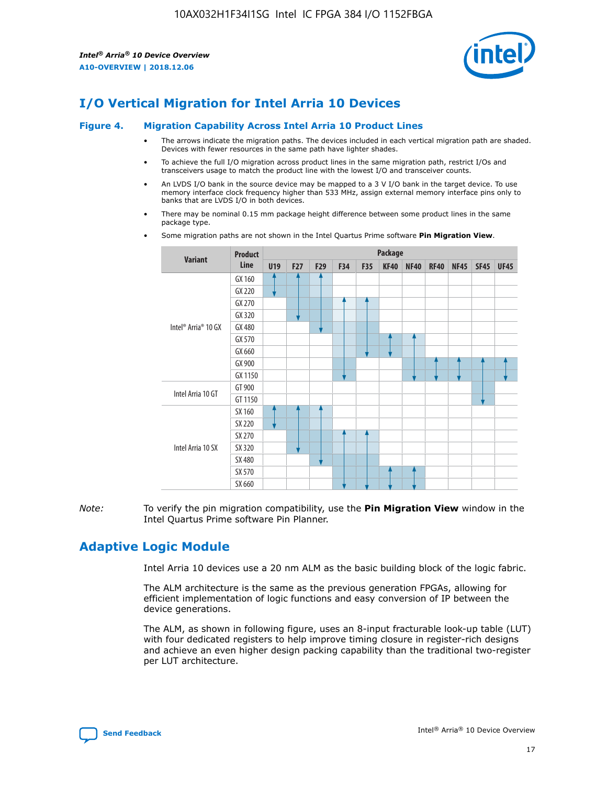

### **I/O Vertical Migration for Intel Arria 10 Devices**

#### **Figure 4. Migration Capability Across Intel Arria 10 Product Lines**

- The arrows indicate the migration paths. The devices included in each vertical migration path are shaded. Devices with fewer resources in the same path have lighter shades.
- To achieve the full I/O migration across product lines in the same migration path, restrict I/Os and transceivers usage to match the product line with the lowest I/O and transceiver counts.
- An LVDS I/O bank in the source device may be mapped to a 3 V I/O bank in the target device. To use memory interface clock frequency higher than 533 MHz, assign external memory interface pins only to banks that are LVDS I/O in both devices.
- There may be nominal 0.15 mm package height difference between some product lines in the same package type.
	- **Variant Product Line Package U19 F27 F29 F34 F35 KF40 NF40 RF40 NF45 SF45 UF45** Intel® Arria® 10 GX GX 160 GX 220 GX 270 GX 320 GX 480 GX 570 GX 660 GX 900 GX 1150 Intel Arria 10 GT GT 900 GT 1150 Intel Arria 10 SX SX 160 SX 220 SX 270 SX 320 SX 480 SX 570 SX 660
- Some migration paths are not shown in the Intel Quartus Prime software **Pin Migration View**.

*Note:* To verify the pin migration compatibility, use the **Pin Migration View** window in the Intel Quartus Prime software Pin Planner.

### **Adaptive Logic Module**

Intel Arria 10 devices use a 20 nm ALM as the basic building block of the logic fabric.

The ALM architecture is the same as the previous generation FPGAs, allowing for efficient implementation of logic functions and easy conversion of IP between the device generations.

The ALM, as shown in following figure, uses an 8-input fracturable look-up table (LUT) with four dedicated registers to help improve timing closure in register-rich designs and achieve an even higher design packing capability than the traditional two-register per LUT architecture.

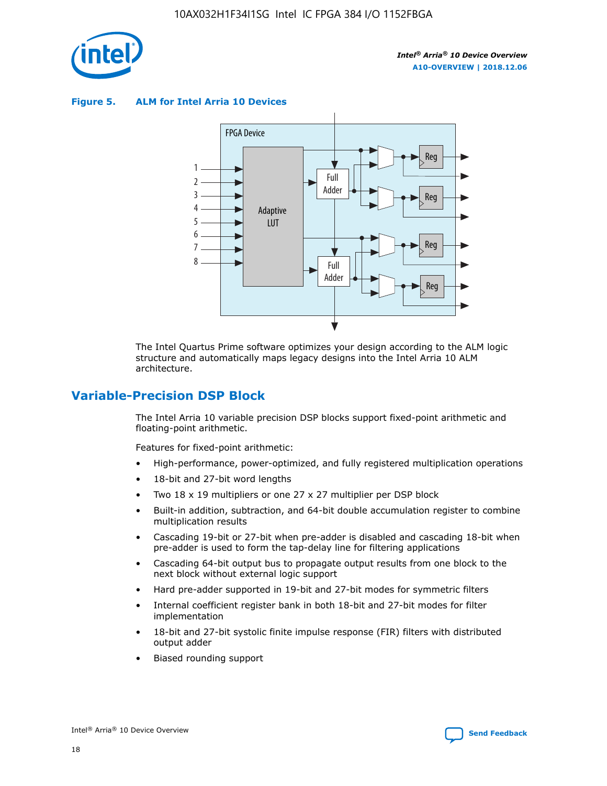

**Figure 5. ALM for Intel Arria 10 Devices**



The Intel Quartus Prime software optimizes your design according to the ALM logic structure and automatically maps legacy designs into the Intel Arria 10 ALM architecture.

### **Variable-Precision DSP Block**

The Intel Arria 10 variable precision DSP blocks support fixed-point arithmetic and floating-point arithmetic.

Features for fixed-point arithmetic:

- High-performance, power-optimized, and fully registered multiplication operations
- 18-bit and 27-bit word lengths
- Two 18 x 19 multipliers or one 27 x 27 multiplier per DSP block
- Built-in addition, subtraction, and 64-bit double accumulation register to combine multiplication results
- Cascading 19-bit or 27-bit when pre-adder is disabled and cascading 18-bit when pre-adder is used to form the tap-delay line for filtering applications
- Cascading 64-bit output bus to propagate output results from one block to the next block without external logic support
- Hard pre-adder supported in 19-bit and 27-bit modes for symmetric filters
- Internal coefficient register bank in both 18-bit and 27-bit modes for filter implementation
- 18-bit and 27-bit systolic finite impulse response (FIR) filters with distributed output adder
- Biased rounding support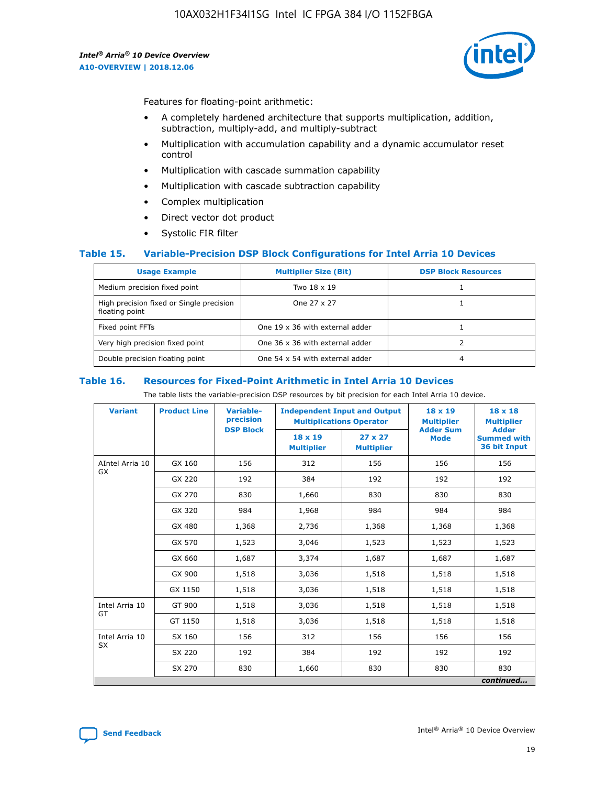

Features for floating-point arithmetic:

- A completely hardened architecture that supports multiplication, addition, subtraction, multiply-add, and multiply-subtract
- Multiplication with accumulation capability and a dynamic accumulator reset control
- Multiplication with cascade summation capability
- Multiplication with cascade subtraction capability
- Complex multiplication
- Direct vector dot product
- Systolic FIR filter

### **Table 15. Variable-Precision DSP Block Configurations for Intel Arria 10 Devices**

| <b>Usage Example</b>                                       | <b>Multiplier Size (Bit)</b>    | <b>DSP Block Resources</b> |
|------------------------------------------------------------|---------------------------------|----------------------------|
| Medium precision fixed point                               | Two 18 x 19                     |                            |
| High precision fixed or Single precision<br>floating point | One 27 x 27                     |                            |
| Fixed point FFTs                                           | One 19 x 36 with external adder |                            |
| Very high precision fixed point                            | One 36 x 36 with external adder |                            |
| Double precision floating point                            | One 54 x 54 with external adder | 4                          |

#### **Table 16. Resources for Fixed-Point Arithmetic in Intel Arria 10 Devices**

The table lists the variable-precision DSP resources by bit precision for each Intel Arria 10 device.

| <b>Variant</b>  | <b>Product Line</b> | Variable-<br>precision<br><b>DSP Block</b> | <b>Independent Input and Output</b><br><b>Multiplications Operator</b> |                                     | 18 x 19<br><b>Multiplier</b><br><b>Adder Sum</b> | $18 \times 18$<br><b>Multiplier</b><br><b>Adder</b> |
|-----------------|---------------------|--------------------------------------------|------------------------------------------------------------------------|-------------------------------------|--------------------------------------------------|-----------------------------------------------------|
|                 |                     |                                            | 18 x 19<br><b>Multiplier</b>                                           | $27 \times 27$<br><b>Multiplier</b> | <b>Mode</b>                                      | <b>Summed with</b><br>36 bit Input                  |
| AIntel Arria 10 | GX 160              | 156                                        | 312                                                                    | 156                                 | 156                                              | 156                                                 |
| GX              | GX 220              | 192                                        | 384                                                                    | 192                                 | 192                                              | 192                                                 |
|                 | GX 270              | 830                                        | 1,660                                                                  | 830                                 | 830                                              | 830                                                 |
|                 | GX 320              | 984                                        | 1,968                                                                  | 984                                 | 984                                              | 984                                                 |
|                 | GX 480              | 1,368                                      | 2,736                                                                  | 1,368                               | 1,368                                            | 1,368                                               |
|                 | GX 570              | 1,523                                      | 3,046                                                                  | 1,523                               | 1,523                                            | 1,523                                               |
|                 | GX 660              | 1,687                                      | 3,374                                                                  | 1,687                               | 1,687                                            | 1,687                                               |
|                 | GX 900              | 1,518                                      | 3,036                                                                  | 1,518                               | 1,518                                            | 1,518                                               |
|                 | GX 1150             | 1,518                                      | 3,036                                                                  | 1,518                               | 1,518                                            | 1,518                                               |
| Intel Arria 10  | GT 900              | 1,518                                      | 3,036                                                                  | 1,518                               | 1,518                                            | 1,518                                               |
| GT              | GT 1150             | 1,518                                      | 3,036                                                                  | 1,518                               | 1,518                                            | 1,518                                               |
| Intel Arria 10  | SX 160              | 156                                        | 312                                                                    | 156                                 | 156                                              | 156                                                 |
| <b>SX</b>       | SX 220<br>192       |                                            | 384                                                                    | 192                                 | 192                                              | 192                                                 |
|                 | SX 270              | 830                                        | 1,660                                                                  | 830                                 | 830                                              | 830                                                 |
|                 |                     |                                            |                                                                        |                                     |                                                  | continued                                           |

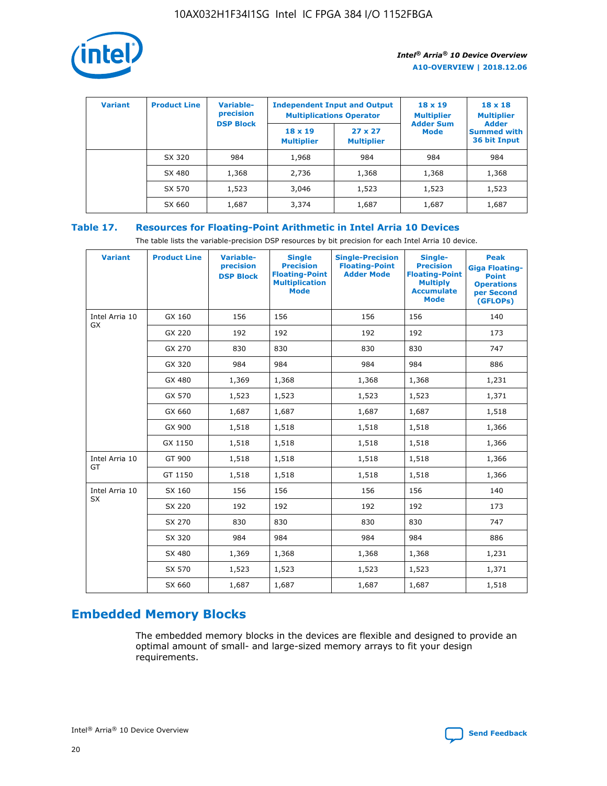

| <b>Variant</b> | <b>Product Line</b> | <b>Variable-</b><br>precision<br><b>DSP Block</b> | <b>Independent Input and Output</b><br><b>Multiplications Operator</b> |                                     | $18 \times 19$<br><b>Multiplier</b><br><b>Adder Sum</b> | $18 \times 18$<br><b>Multiplier</b><br><b>Adder</b> |  |
|----------------|---------------------|---------------------------------------------------|------------------------------------------------------------------------|-------------------------------------|---------------------------------------------------------|-----------------------------------------------------|--|
|                |                     |                                                   | $18 \times 19$<br><b>Multiplier</b>                                    | $27 \times 27$<br><b>Multiplier</b> | <b>Mode</b>                                             | <b>Summed with</b><br>36 bit Input                  |  |
|                | SX 320              | 984                                               | 1,968                                                                  | 984                                 | 984                                                     | 984                                                 |  |
|                | SX 480              | 1,368                                             | 2,736                                                                  | 1,368                               | 1,368                                                   | 1,368                                               |  |
|                | SX 570              | 1,523                                             | 3,046                                                                  | 1,523                               | 1,523                                                   | 1,523                                               |  |
|                | SX 660              | 1,687                                             | 3,374                                                                  | 1,687                               | 1,687                                                   | 1,687                                               |  |

### **Table 17. Resources for Floating-Point Arithmetic in Intel Arria 10 Devices**

The table lists the variable-precision DSP resources by bit precision for each Intel Arria 10 device.

| <b>Variant</b> | <b>Product Line</b> | <b>Variable-</b><br>precision<br><b>DSP Block</b> | <b>Single</b><br><b>Precision</b><br><b>Floating-Point</b><br><b>Multiplication</b><br><b>Mode</b> | <b>Single-Precision</b><br><b>Floating-Point</b><br><b>Adder Mode</b> | Single-<br><b>Precision</b><br><b>Floating-Point</b><br><b>Multiply</b><br><b>Accumulate</b><br><b>Mode</b> | <b>Peak</b><br><b>Giga Floating-</b><br><b>Point</b><br><b>Operations</b><br>per Second<br>(GFLOPs) |
|----------------|---------------------|---------------------------------------------------|----------------------------------------------------------------------------------------------------|-----------------------------------------------------------------------|-------------------------------------------------------------------------------------------------------------|-----------------------------------------------------------------------------------------------------|
| Intel Arria 10 | GX 160              | 156                                               | 156                                                                                                | 156                                                                   | 156                                                                                                         | 140                                                                                                 |
| GX             | GX 220              | 192                                               | 192                                                                                                | 192                                                                   | 192                                                                                                         | 173                                                                                                 |
|                | GX 270              | 830                                               | 830                                                                                                | 830                                                                   | 830                                                                                                         | 747                                                                                                 |
|                | GX 320              | 984                                               | 984                                                                                                | 984                                                                   | 984                                                                                                         | 886                                                                                                 |
|                | GX 480              | 1,369                                             | 1,368                                                                                              | 1,368                                                                 | 1,368                                                                                                       | 1,231                                                                                               |
|                | GX 570              | 1,523                                             | 1,523                                                                                              | 1,523                                                                 | 1,523                                                                                                       | 1,371                                                                                               |
|                | GX 660              | 1,687                                             | 1,687                                                                                              | 1,687                                                                 | 1,687                                                                                                       | 1,518                                                                                               |
|                | GX 900              | 1,518                                             | 1,518                                                                                              | 1,518                                                                 | 1,518                                                                                                       | 1,366                                                                                               |
|                | GX 1150             | 1,518                                             | 1,518                                                                                              | 1,518                                                                 | 1,518                                                                                                       | 1,366                                                                                               |
| Intel Arria 10 | GT 900              | 1,518                                             | 1,518                                                                                              | 1,518                                                                 | 1,518                                                                                                       | 1,366                                                                                               |
| GT             | GT 1150             | 1,518                                             | 1,518                                                                                              | 1,518                                                                 | 1,518                                                                                                       | 1,366                                                                                               |
| Intel Arria 10 | SX 160              | 156                                               | 156                                                                                                | 156                                                                   | 156                                                                                                         | 140                                                                                                 |
| <b>SX</b>      | SX 220              | 192                                               | 192                                                                                                | 192                                                                   | 192                                                                                                         | 173                                                                                                 |
|                | SX 270              | 830                                               | 830                                                                                                | 830                                                                   | 830                                                                                                         | 747                                                                                                 |
|                | SX 320              | 984                                               | 984                                                                                                | 984                                                                   | 984                                                                                                         | 886                                                                                                 |
|                | SX 480              | 1,369                                             | 1,368                                                                                              | 1,368                                                                 | 1,368                                                                                                       | 1,231                                                                                               |
|                | SX 570              | 1,523                                             | 1,523                                                                                              | 1,523                                                                 | 1,523                                                                                                       | 1,371                                                                                               |
|                | SX 660              | 1,687                                             | 1,687                                                                                              | 1,687                                                                 | 1,687                                                                                                       | 1,518                                                                                               |

### **Embedded Memory Blocks**

The embedded memory blocks in the devices are flexible and designed to provide an optimal amount of small- and large-sized memory arrays to fit your design requirements.

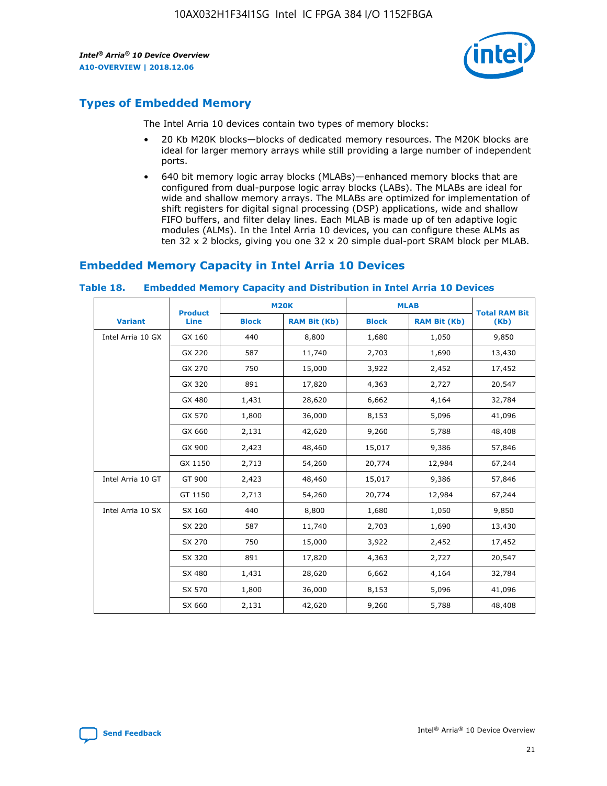

### **Types of Embedded Memory**

The Intel Arria 10 devices contain two types of memory blocks:

- 20 Kb M20K blocks—blocks of dedicated memory resources. The M20K blocks are ideal for larger memory arrays while still providing a large number of independent ports.
- 640 bit memory logic array blocks (MLABs)—enhanced memory blocks that are configured from dual-purpose logic array blocks (LABs). The MLABs are ideal for wide and shallow memory arrays. The MLABs are optimized for implementation of shift registers for digital signal processing (DSP) applications, wide and shallow FIFO buffers, and filter delay lines. Each MLAB is made up of ten adaptive logic modules (ALMs). In the Intel Arria 10 devices, you can configure these ALMs as ten 32 x 2 blocks, giving you one 32 x 20 simple dual-port SRAM block per MLAB.

### **Embedded Memory Capacity in Intel Arria 10 Devices**

|                   | <b>Product</b> | <b>M20K</b>  |                     | <b>MLAB</b>  |                     | <b>Total RAM Bit</b> |
|-------------------|----------------|--------------|---------------------|--------------|---------------------|----------------------|
| <b>Variant</b>    | <b>Line</b>    | <b>Block</b> | <b>RAM Bit (Kb)</b> | <b>Block</b> | <b>RAM Bit (Kb)</b> | (Kb)                 |
| Intel Arria 10 GX | GX 160         | 440          | 8,800               | 1,680        | 1,050               | 9,850                |
|                   | GX 220         | 587          | 11,740              | 2,703        | 1,690               | 13,430               |
|                   | GX 270         | 750          | 15,000              | 3,922        | 2,452               | 17,452               |
|                   | GX 320         | 891          | 17,820              | 4,363        | 2,727               | 20,547               |
|                   | GX 480         | 1,431        | 28,620              | 6,662        | 4,164               | 32,784               |
|                   | GX 570         | 1,800        | 36,000              | 8,153        | 5,096               | 41,096               |
|                   | GX 660         | 2,131        | 42,620              | 9,260        | 5,788               | 48,408               |
|                   | GX 900         | 2,423        | 48,460              | 15,017       | 9,386               | 57,846               |
|                   | GX 1150        | 2,713        | 54,260              | 20,774       | 12,984              | 67,244               |
| Intel Arria 10 GT | GT 900         | 2,423        | 48,460              | 15,017       | 9,386               | 57,846               |
|                   | GT 1150        | 2,713        | 54,260              | 20,774       | 12,984              | 67,244               |
| Intel Arria 10 SX | SX 160         | 440          | 8,800               | 1,680        | 1,050               | 9,850                |
|                   | SX 220         | 587          | 11,740              | 2,703        | 1,690               | 13,430               |
|                   | SX 270         | 750          | 15,000              | 3,922        | 2,452               | 17,452               |
|                   | SX 320         | 891          | 17,820              | 4,363        | 2,727               | 20,547               |
|                   | SX 480         | 1,431        | 28,620              | 6,662        | 4,164               | 32,784               |
|                   | SX 570         | 1,800        | 36,000              | 8,153        | 5,096               | 41,096               |
|                   | SX 660         | 2,131        | 42,620              | 9,260        | 5,788               | 48,408               |

#### **Table 18. Embedded Memory Capacity and Distribution in Intel Arria 10 Devices**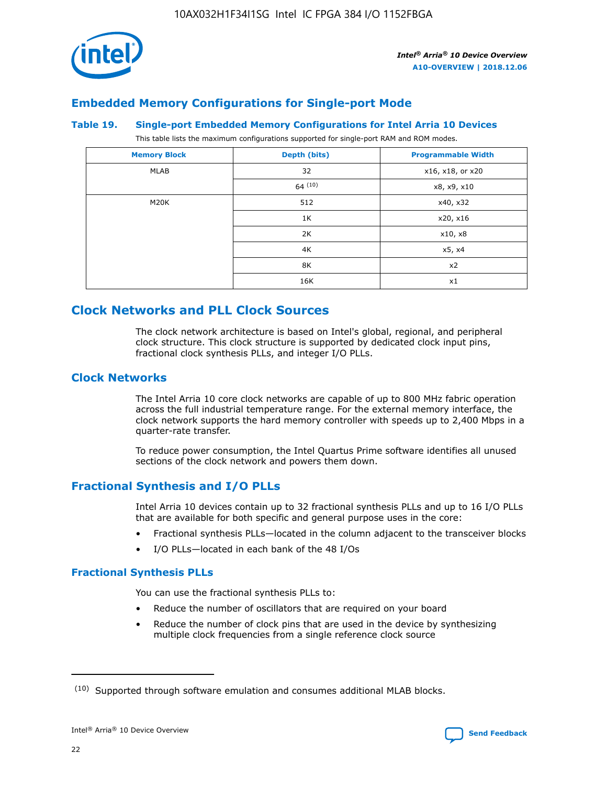

### **Embedded Memory Configurations for Single-port Mode**

#### **Table 19. Single-port Embedded Memory Configurations for Intel Arria 10 Devices**

This table lists the maximum configurations supported for single-port RAM and ROM modes.

| <b>Memory Block</b> | Depth (bits) | <b>Programmable Width</b> |
|---------------------|--------------|---------------------------|
| MLAB                | 32           | x16, x18, or x20          |
|                     | 64(10)       | x8, x9, x10               |
| M20K                | 512          | x40, x32                  |
|                     | 1K           | x20, x16                  |
|                     | 2K           | x10, x8                   |
|                     | 4K           | x5, x4                    |
|                     | 8K           | x2                        |
|                     | 16K          | x1                        |

### **Clock Networks and PLL Clock Sources**

The clock network architecture is based on Intel's global, regional, and peripheral clock structure. This clock structure is supported by dedicated clock input pins, fractional clock synthesis PLLs, and integer I/O PLLs.

### **Clock Networks**

The Intel Arria 10 core clock networks are capable of up to 800 MHz fabric operation across the full industrial temperature range. For the external memory interface, the clock network supports the hard memory controller with speeds up to 2,400 Mbps in a quarter-rate transfer.

To reduce power consumption, the Intel Quartus Prime software identifies all unused sections of the clock network and powers them down.

### **Fractional Synthesis and I/O PLLs**

Intel Arria 10 devices contain up to 32 fractional synthesis PLLs and up to 16 I/O PLLs that are available for both specific and general purpose uses in the core:

- Fractional synthesis PLLs—located in the column adjacent to the transceiver blocks
- I/O PLLs—located in each bank of the 48 I/Os

### **Fractional Synthesis PLLs**

You can use the fractional synthesis PLLs to:

- Reduce the number of oscillators that are required on your board
- Reduce the number of clock pins that are used in the device by synthesizing multiple clock frequencies from a single reference clock source

<sup>(10)</sup> Supported through software emulation and consumes additional MLAB blocks.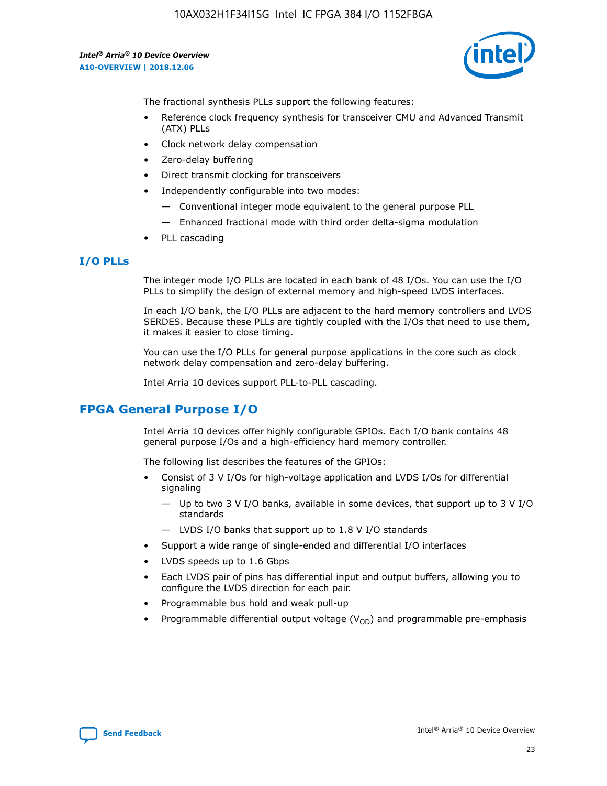

The fractional synthesis PLLs support the following features:

- Reference clock frequency synthesis for transceiver CMU and Advanced Transmit (ATX) PLLs
- Clock network delay compensation
- Zero-delay buffering
- Direct transmit clocking for transceivers
- Independently configurable into two modes:
	- Conventional integer mode equivalent to the general purpose PLL
	- Enhanced fractional mode with third order delta-sigma modulation
- PLL cascading

### **I/O PLLs**

The integer mode I/O PLLs are located in each bank of 48 I/Os. You can use the I/O PLLs to simplify the design of external memory and high-speed LVDS interfaces.

In each I/O bank, the I/O PLLs are adjacent to the hard memory controllers and LVDS SERDES. Because these PLLs are tightly coupled with the I/Os that need to use them, it makes it easier to close timing.

You can use the I/O PLLs for general purpose applications in the core such as clock network delay compensation and zero-delay buffering.

Intel Arria 10 devices support PLL-to-PLL cascading.

### **FPGA General Purpose I/O**

Intel Arria 10 devices offer highly configurable GPIOs. Each I/O bank contains 48 general purpose I/Os and a high-efficiency hard memory controller.

The following list describes the features of the GPIOs:

- Consist of 3 V I/Os for high-voltage application and LVDS I/Os for differential signaling
	- Up to two 3 V I/O banks, available in some devices, that support up to 3 V I/O standards
	- LVDS I/O banks that support up to 1.8 V I/O standards
- Support a wide range of single-ended and differential I/O interfaces
- LVDS speeds up to 1.6 Gbps
- Each LVDS pair of pins has differential input and output buffers, allowing you to configure the LVDS direction for each pair.
- Programmable bus hold and weak pull-up
- Programmable differential output voltage  $(V_{OD})$  and programmable pre-emphasis

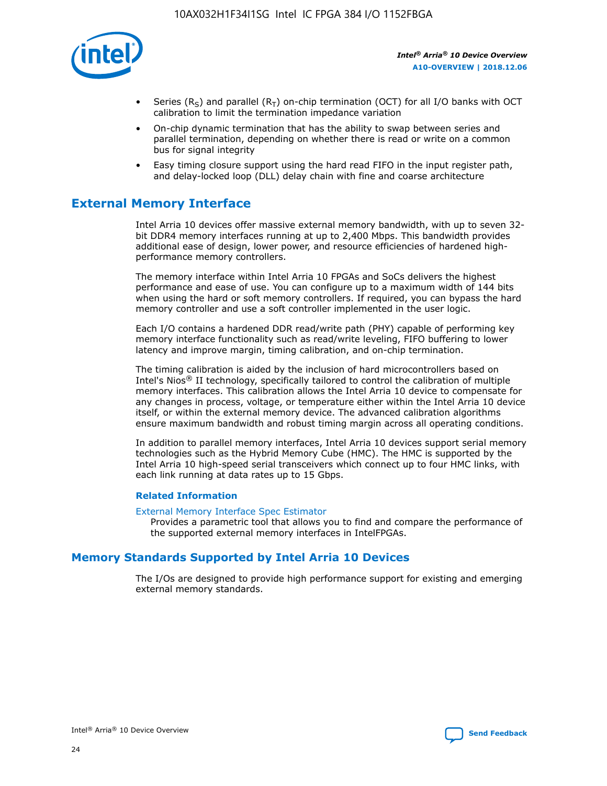

- Series (R<sub>S</sub>) and parallel (R<sub>T</sub>) on-chip termination (OCT) for all I/O banks with OCT calibration to limit the termination impedance variation
- On-chip dynamic termination that has the ability to swap between series and parallel termination, depending on whether there is read or write on a common bus for signal integrity
- Easy timing closure support using the hard read FIFO in the input register path, and delay-locked loop (DLL) delay chain with fine and coarse architecture

### **External Memory Interface**

Intel Arria 10 devices offer massive external memory bandwidth, with up to seven 32 bit DDR4 memory interfaces running at up to 2,400 Mbps. This bandwidth provides additional ease of design, lower power, and resource efficiencies of hardened highperformance memory controllers.

The memory interface within Intel Arria 10 FPGAs and SoCs delivers the highest performance and ease of use. You can configure up to a maximum width of 144 bits when using the hard or soft memory controllers. If required, you can bypass the hard memory controller and use a soft controller implemented in the user logic.

Each I/O contains a hardened DDR read/write path (PHY) capable of performing key memory interface functionality such as read/write leveling, FIFO buffering to lower latency and improve margin, timing calibration, and on-chip termination.

The timing calibration is aided by the inclusion of hard microcontrollers based on Intel's Nios® II technology, specifically tailored to control the calibration of multiple memory interfaces. This calibration allows the Intel Arria 10 device to compensate for any changes in process, voltage, or temperature either within the Intel Arria 10 device itself, or within the external memory device. The advanced calibration algorithms ensure maximum bandwidth and robust timing margin across all operating conditions.

In addition to parallel memory interfaces, Intel Arria 10 devices support serial memory technologies such as the Hybrid Memory Cube (HMC). The HMC is supported by the Intel Arria 10 high-speed serial transceivers which connect up to four HMC links, with each link running at data rates up to 15 Gbps.

### **Related Information**

#### [External Memory Interface Spec Estimator](http://www.altera.com/technology/memory/estimator/mem-emif-index.html)

Provides a parametric tool that allows you to find and compare the performance of the supported external memory interfaces in IntelFPGAs.

### **Memory Standards Supported by Intel Arria 10 Devices**

The I/Os are designed to provide high performance support for existing and emerging external memory standards.

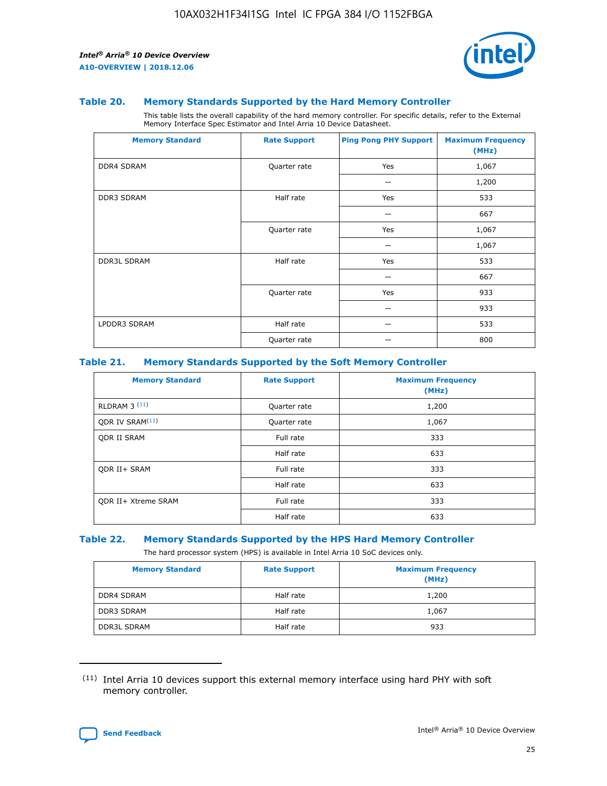

### **Table 20. Memory Standards Supported by the Hard Memory Controller**

This table lists the overall capability of the hard memory controller. For specific details, refer to the External Memory Interface Spec Estimator and Intel Arria 10 Device Datasheet.

| <b>Memory Standard</b> | <b>Rate Support</b> | <b>Ping Pong PHY Support</b> | <b>Maximum Frequency</b><br>(MHz) |
|------------------------|---------------------|------------------------------|-----------------------------------|
| <b>DDR4 SDRAM</b>      | Quarter rate        | Yes                          | 1,067                             |
|                        |                     |                              | 1,200                             |
| <b>DDR3 SDRAM</b>      | Half rate           | Yes                          | 533                               |
|                        |                     |                              | 667                               |
|                        | Quarter rate        | Yes                          | 1,067                             |
|                        |                     |                              | 1,067                             |
| <b>DDR3L SDRAM</b>     | Half rate           | Yes                          | 533                               |
|                        |                     |                              | 667                               |
|                        | Quarter rate        | Yes                          | 933                               |
|                        |                     |                              | 933                               |
| LPDDR3 SDRAM           | Half rate           |                              | 533                               |
|                        | Quarter rate        |                              | 800                               |

### **Table 21. Memory Standards Supported by the Soft Memory Controller**

| <b>Memory Standard</b>      | <b>Rate Support</b> | <b>Maximum Frequency</b><br>(MHz) |
|-----------------------------|---------------------|-----------------------------------|
| <b>RLDRAM 3 (11)</b>        | Quarter rate        | 1,200                             |
| ODR IV SRAM <sup>(11)</sup> | Quarter rate        | 1,067                             |
| <b>ODR II SRAM</b>          | Full rate           | 333                               |
|                             | Half rate           | 633                               |
| <b>ODR II+ SRAM</b>         | Full rate           | 333                               |
|                             | Half rate           | 633                               |
| <b>ODR II+ Xtreme SRAM</b>  | Full rate           | 333                               |
|                             | Half rate           | 633                               |

### **Table 22. Memory Standards Supported by the HPS Hard Memory Controller**

The hard processor system (HPS) is available in Intel Arria 10 SoC devices only.

| <b>Memory Standard</b> | <b>Rate Support</b> | <b>Maximum Frequency</b><br>(MHz) |
|------------------------|---------------------|-----------------------------------|
| <b>DDR4 SDRAM</b>      | Half rate           | 1,200                             |
| <b>DDR3 SDRAM</b>      | Half rate           | 1,067                             |
| <b>DDR3L SDRAM</b>     | Half rate           | 933                               |

<sup>(11)</sup> Intel Arria 10 devices support this external memory interface using hard PHY with soft memory controller.

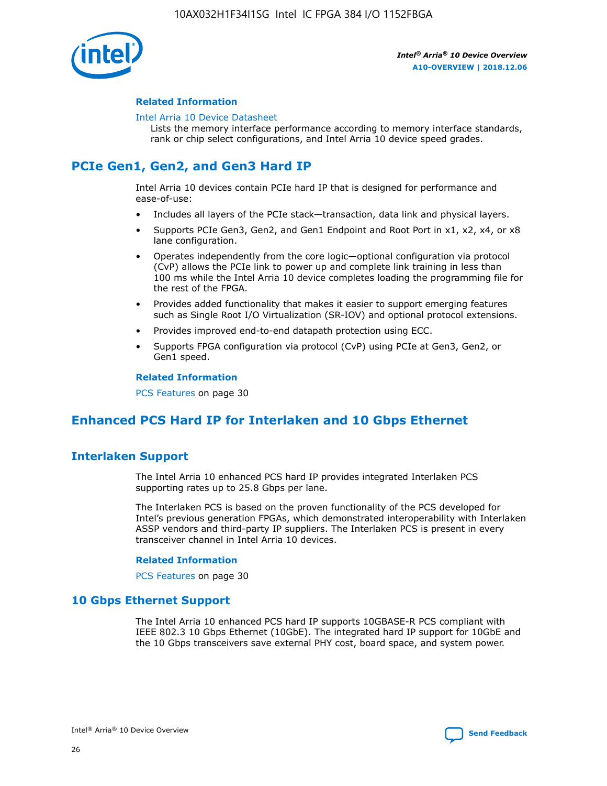

### **Related Information**

#### [Intel Arria 10 Device Datasheet](https://www.intel.com/content/www/us/en/programmable/documentation/mcn1413182292568.html#mcn1413182153340)

Lists the memory interface performance according to memory interface standards, rank or chip select configurations, and Intel Arria 10 device speed grades.

### **PCIe Gen1, Gen2, and Gen3 Hard IP**

Intel Arria 10 devices contain PCIe hard IP that is designed for performance and ease-of-use:

- Includes all layers of the PCIe stack—transaction, data link and physical layers.
- Supports PCIe Gen3, Gen2, and Gen1 Endpoint and Root Port in x1, x2, x4, or x8 lane configuration.
- Operates independently from the core logic—optional configuration via protocol (CvP) allows the PCIe link to power up and complete link training in less than 100 ms while the Intel Arria 10 device completes loading the programming file for the rest of the FPGA.
- Provides added functionality that makes it easier to support emerging features such as Single Root I/O Virtualization (SR-IOV) and optional protocol extensions.
- Provides improved end-to-end datapath protection using ECC.
- Supports FPGA configuration via protocol (CvP) using PCIe at Gen3, Gen2, or Gen1 speed.

#### **Related Information**

PCS Features on page 30

### **Enhanced PCS Hard IP for Interlaken and 10 Gbps Ethernet**

### **Interlaken Support**

The Intel Arria 10 enhanced PCS hard IP provides integrated Interlaken PCS supporting rates up to 25.8 Gbps per lane.

The Interlaken PCS is based on the proven functionality of the PCS developed for Intel's previous generation FPGAs, which demonstrated interoperability with Interlaken ASSP vendors and third-party IP suppliers. The Interlaken PCS is present in every transceiver channel in Intel Arria 10 devices.

### **Related Information**

PCS Features on page 30

### **10 Gbps Ethernet Support**

The Intel Arria 10 enhanced PCS hard IP supports 10GBASE-R PCS compliant with IEEE 802.3 10 Gbps Ethernet (10GbE). The integrated hard IP support for 10GbE and the 10 Gbps transceivers save external PHY cost, board space, and system power.

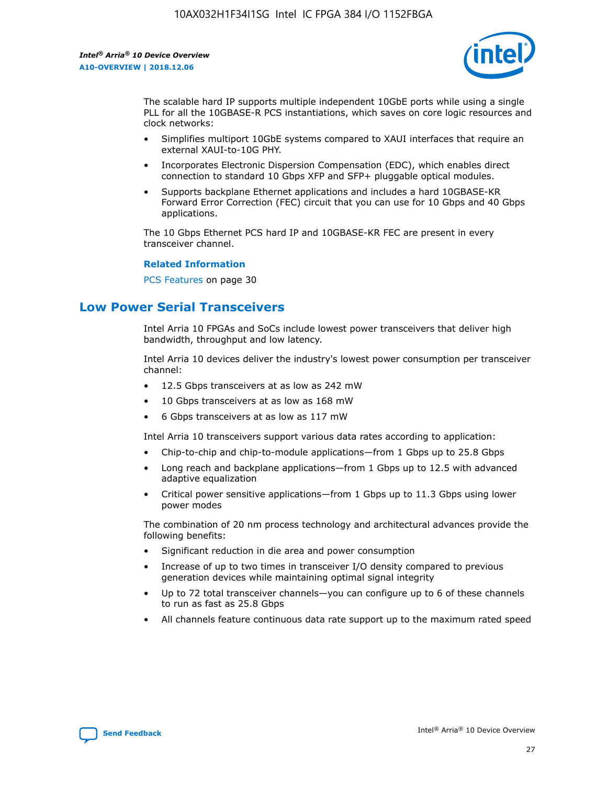

The scalable hard IP supports multiple independent 10GbE ports while using a single PLL for all the 10GBASE-R PCS instantiations, which saves on core logic resources and clock networks:

- Simplifies multiport 10GbE systems compared to XAUI interfaces that require an external XAUI-to-10G PHY.
- Incorporates Electronic Dispersion Compensation (EDC), which enables direct connection to standard 10 Gbps XFP and SFP+ pluggable optical modules.
- Supports backplane Ethernet applications and includes a hard 10GBASE-KR Forward Error Correction (FEC) circuit that you can use for 10 Gbps and 40 Gbps applications.

The 10 Gbps Ethernet PCS hard IP and 10GBASE-KR FEC are present in every transceiver channel.

#### **Related Information**

PCS Features on page 30

### **Low Power Serial Transceivers**

Intel Arria 10 FPGAs and SoCs include lowest power transceivers that deliver high bandwidth, throughput and low latency.

Intel Arria 10 devices deliver the industry's lowest power consumption per transceiver channel:

- 12.5 Gbps transceivers at as low as 242 mW
- 10 Gbps transceivers at as low as 168 mW
- 6 Gbps transceivers at as low as 117 mW

Intel Arria 10 transceivers support various data rates according to application:

- Chip-to-chip and chip-to-module applications—from 1 Gbps up to 25.8 Gbps
- Long reach and backplane applications—from 1 Gbps up to 12.5 with advanced adaptive equalization
- Critical power sensitive applications—from 1 Gbps up to 11.3 Gbps using lower power modes

The combination of 20 nm process technology and architectural advances provide the following benefits:

- Significant reduction in die area and power consumption
- Increase of up to two times in transceiver I/O density compared to previous generation devices while maintaining optimal signal integrity
- Up to 72 total transceiver channels—you can configure up to 6 of these channels to run as fast as 25.8 Gbps
- All channels feature continuous data rate support up to the maximum rated speed

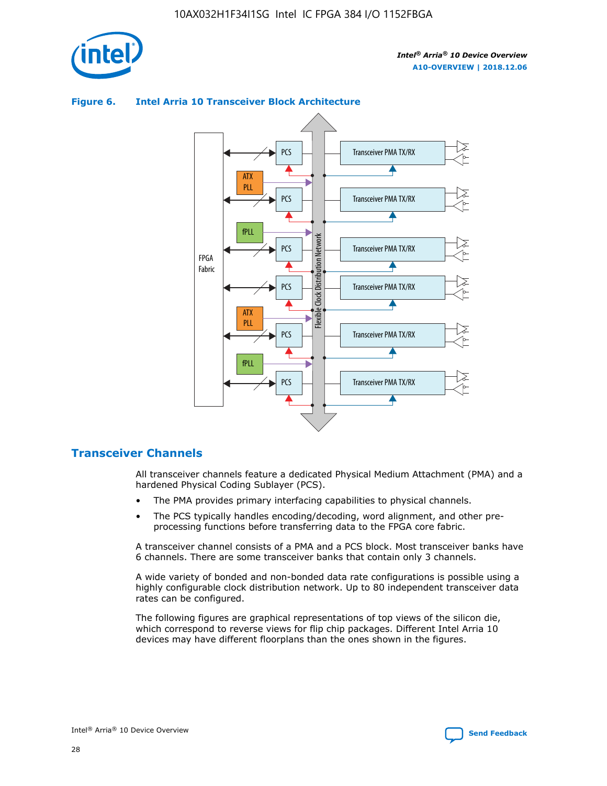





### **Transceiver Channels**

All transceiver channels feature a dedicated Physical Medium Attachment (PMA) and a hardened Physical Coding Sublayer (PCS).

- The PMA provides primary interfacing capabilities to physical channels.
- The PCS typically handles encoding/decoding, word alignment, and other preprocessing functions before transferring data to the FPGA core fabric.

A transceiver channel consists of a PMA and a PCS block. Most transceiver banks have 6 channels. There are some transceiver banks that contain only 3 channels.

A wide variety of bonded and non-bonded data rate configurations is possible using a highly configurable clock distribution network. Up to 80 independent transceiver data rates can be configured.

The following figures are graphical representations of top views of the silicon die, which correspond to reverse views for flip chip packages. Different Intel Arria 10 devices may have different floorplans than the ones shown in the figures.

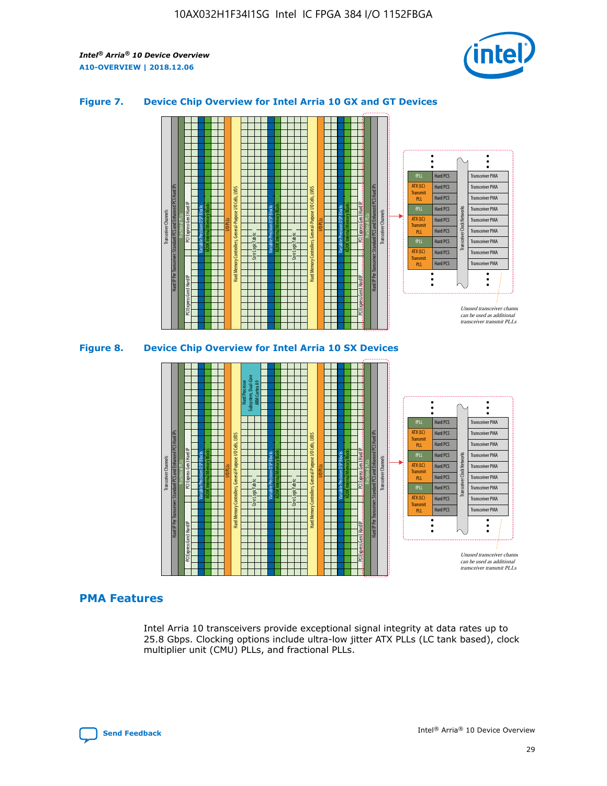

### **Figure 7. Device Chip Overview for Intel Arria 10 GX and GT Devices**



M20K Internal Memory Blocks Core Logic Fabric Transceiver Channels Hard IP Per Transceiver: Standard PCS and Enhanced PCS Hard IPs PCI Express Gen3 Hard IP Fractional PLLs M20K Internal Memory Blocks PCI Express Gen3 Hard IP Variable Precision DSP Blocks I/O PLLs Hard Memory Controllers, General-Purpose I/O Cells, LVDS Hard Processor Subsystem, Dual-Core ARM Cortex A9 M20K Internal Memory Blocks Variable Precision DSP Blocks M20K Internal Memory Blocks Core Logic Fabric I/O PLLs Hard Memory Controllers, General-Purpose I/O Cells, LVDS M20K Internal Memory Blocks Variable Precision DSP Blocks M20K Internal Memory Blocks Transceiver Channels Hard IP Per Transceiver: Standard PCS and Enhanced PCS Hard IPs PCI Express Gen3 Hard IP Fractional PLLs PCI Express Gen3 Hard IP  $\ddot{\cdot}$ Hard PCS Transceiver PMA fPLL ATX (LC) Hard PCS Transceiver PMA **Transmit** Hard PCS Transceiver PMA PLL fPLL Hard PCS Transceiver PMA Transceiver Clock Networks ATX (LC) Hard PCS Transceiver PMA Transmi Hard PCS Transceiver PMA PLL fPLL Hard PCS Transceiver PMA Transceiver PMA Hard PCS ATX (LC) **Transmit** Hard PCS Transceiver PMA PLL Unused transceiver chann can be used as additional transceiver transmit PLLs

### **PMA Features**

Intel Arria 10 transceivers provide exceptional signal integrity at data rates up to 25.8 Gbps. Clocking options include ultra-low jitter ATX PLLs (LC tank based), clock multiplier unit (CMU) PLLs, and fractional PLLs.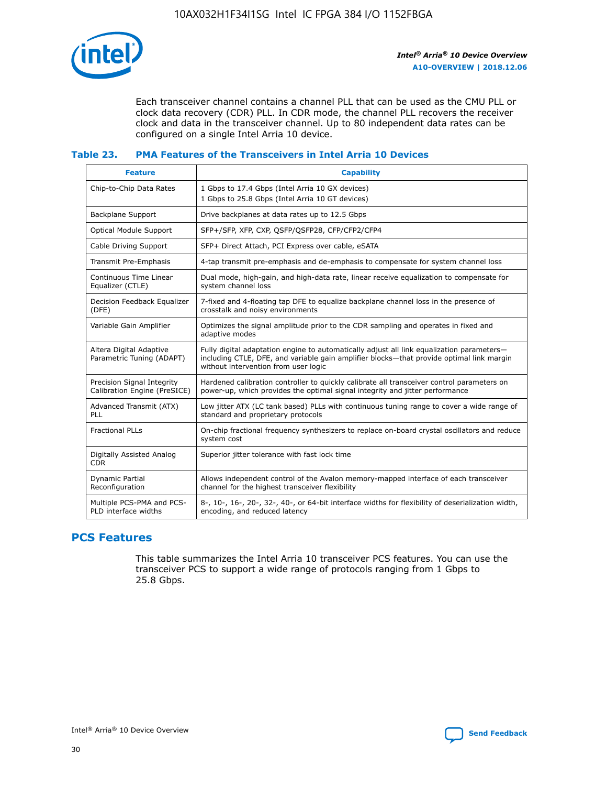

Each transceiver channel contains a channel PLL that can be used as the CMU PLL or clock data recovery (CDR) PLL. In CDR mode, the channel PLL recovers the receiver clock and data in the transceiver channel. Up to 80 independent data rates can be configured on a single Intel Arria 10 device.

### **Table 23. PMA Features of the Transceivers in Intel Arria 10 Devices**

| <b>Feature</b>                                             | <b>Capability</b>                                                                                                                                                                                                             |
|------------------------------------------------------------|-------------------------------------------------------------------------------------------------------------------------------------------------------------------------------------------------------------------------------|
| Chip-to-Chip Data Rates                                    | 1 Gbps to 17.4 Gbps (Intel Arria 10 GX devices)<br>1 Gbps to 25.8 Gbps (Intel Arria 10 GT devices)                                                                                                                            |
| Backplane Support                                          | Drive backplanes at data rates up to 12.5 Gbps                                                                                                                                                                                |
| Optical Module Support                                     | SFP+/SFP, XFP, CXP, QSFP/QSFP28, CFP/CFP2/CFP4                                                                                                                                                                                |
| Cable Driving Support                                      | SFP+ Direct Attach, PCI Express over cable, eSATA                                                                                                                                                                             |
| Transmit Pre-Emphasis                                      | 4-tap transmit pre-emphasis and de-emphasis to compensate for system channel loss                                                                                                                                             |
| Continuous Time Linear<br>Equalizer (CTLE)                 | Dual mode, high-gain, and high-data rate, linear receive equalization to compensate for<br>system channel loss                                                                                                                |
| Decision Feedback Equalizer<br>(DFE)                       | 7-fixed and 4-floating tap DFE to equalize backplane channel loss in the presence of<br>crosstalk and noisy environments                                                                                                      |
| Variable Gain Amplifier                                    | Optimizes the signal amplitude prior to the CDR sampling and operates in fixed and<br>adaptive modes                                                                                                                          |
| Altera Digital Adaptive<br>Parametric Tuning (ADAPT)       | Fully digital adaptation engine to automatically adjust all link equalization parameters-<br>including CTLE, DFE, and variable gain amplifier blocks—that provide optimal link margin<br>without intervention from user logic |
| Precision Signal Integrity<br>Calibration Engine (PreSICE) | Hardened calibration controller to quickly calibrate all transceiver control parameters on<br>power-up, which provides the optimal signal integrity and jitter performance                                                    |
| Advanced Transmit (ATX)<br><b>PLL</b>                      | Low jitter ATX (LC tank based) PLLs with continuous tuning range to cover a wide range of<br>standard and proprietary protocols                                                                                               |
| <b>Fractional PLLs</b>                                     | On-chip fractional frequency synthesizers to replace on-board crystal oscillators and reduce<br>system cost                                                                                                                   |
| Digitally Assisted Analog<br><b>CDR</b>                    | Superior jitter tolerance with fast lock time                                                                                                                                                                                 |
| Dynamic Partial<br>Reconfiguration                         | Allows independent control of the Avalon memory-mapped interface of each transceiver<br>channel for the highest transceiver flexibility                                                                                       |
| Multiple PCS-PMA and PCS-<br>PLD interface widths          | 8-, 10-, 16-, 20-, 32-, 40-, or 64-bit interface widths for flexibility of deserialization width,<br>encoding, and reduced latency                                                                                            |

### **PCS Features**

This table summarizes the Intel Arria 10 transceiver PCS features. You can use the transceiver PCS to support a wide range of protocols ranging from 1 Gbps to 25.8 Gbps.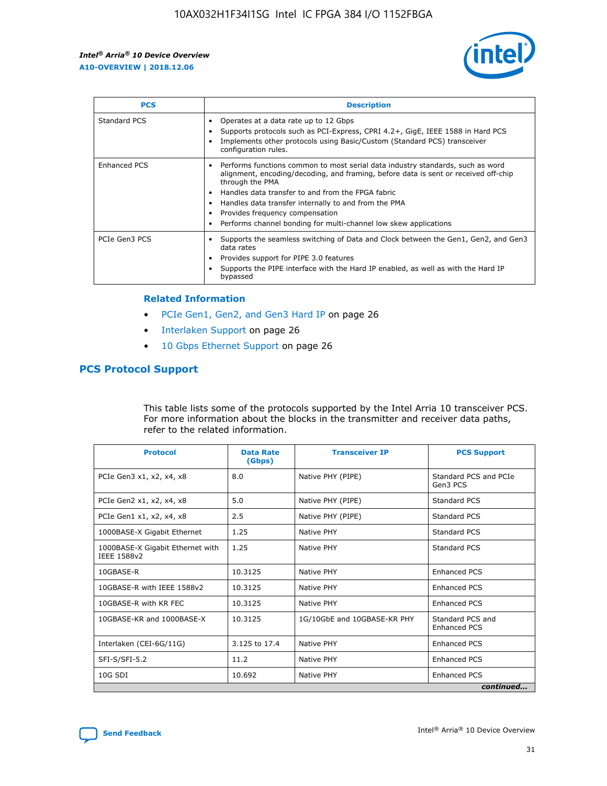

| <b>PCS</b>    | <b>Description</b>                                                                                                                                                                                                                                                                                                                                                                                                          |
|---------------|-----------------------------------------------------------------------------------------------------------------------------------------------------------------------------------------------------------------------------------------------------------------------------------------------------------------------------------------------------------------------------------------------------------------------------|
| Standard PCS  | Operates at a data rate up to 12 Gbps<br>Supports protocols such as PCI-Express, CPRI 4.2+, GigE, IEEE 1588 in Hard PCS<br>Implements other protocols using Basic/Custom (Standard PCS) transceiver<br>configuration rules.                                                                                                                                                                                                 |
| Enhanced PCS  | Performs functions common to most serial data industry standards, such as word<br>$\bullet$<br>alignment, encoding/decoding, and framing, before data is sent or received off-chip<br>through the PMA<br>• Handles data transfer to and from the FPGA fabric<br>Handles data transfer internally to and from the PMA<br>Provides frequency compensation<br>Performs channel bonding for multi-channel low skew applications |
| PCIe Gen3 PCS | Supports the seamless switching of Data and Clock between the Gen1, Gen2, and Gen3<br>data rates<br>Provides support for PIPE 3.0 features<br>Supports the PIPE interface with the Hard IP enabled, as well as with the Hard IP<br>bypassed                                                                                                                                                                                 |

#### **Related Information**

- PCIe Gen1, Gen2, and Gen3 Hard IP on page 26
- Interlaken Support on page 26
- 10 Gbps Ethernet Support on page 26

### **PCS Protocol Support**

This table lists some of the protocols supported by the Intel Arria 10 transceiver PCS. For more information about the blocks in the transmitter and receiver data paths, refer to the related information.

| <b>Protocol</b>                                 | <b>Data Rate</b><br>(Gbps) | <b>Transceiver IP</b>       | <b>PCS Support</b>                      |
|-------------------------------------------------|----------------------------|-----------------------------|-----------------------------------------|
| PCIe Gen3 x1, x2, x4, x8                        | 8.0                        | Native PHY (PIPE)           | Standard PCS and PCIe<br>Gen3 PCS       |
| PCIe Gen2 x1, x2, x4, x8                        | 5.0                        | Native PHY (PIPE)           | <b>Standard PCS</b>                     |
| PCIe Gen1 x1, x2, x4, x8                        | 2.5                        | Native PHY (PIPE)           | Standard PCS                            |
| 1000BASE-X Gigabit Ethernet                     | 1.25                       | Native PHY                  | <b>Standard PCS</b>                     |
| 1000BASE-X Gigabit Ethernet with<br>IEEE 1588v2 | 1.25                       | Native PHY                  | Standard PCS                            |
| 10GBASE-R                                       | 10.3125                    | Native PHY                  | <b>Enhanced PCS</b>                     |
| 10GBASE-R with IEEE 1588v2                      | 10.3125                    | Native PHY                  | <b>Enhanced PCS</b>                     |
| 10GBASE-R with KR FEC                           | 10.3125                    | Native PHY                  | <b>Enhanced PCS</b>                     |
| 10GBASE-KR and 1000BASE-X                       | 10.3125                    | 1G/10GbE and 10GBASE-KR PHY | Standard PCS and<br><b>Enhanced PCS</b> |
| Interlaken (CEI-6G/11G)                         | 3.125 to 17.4              | Native PHY                  | <b>Enhanced PCS</b>                     |
| SFI-S/SFI-5.2                                   | 11.2                       | Native PHY                  | <b>Enhanced PCS</b>                     |
| $10G$ SDI                                       | 10.692                     | Native PHY                  | <b>Enhanced PCS</b>                     |
|                                                 |                            |                             | continued                               |

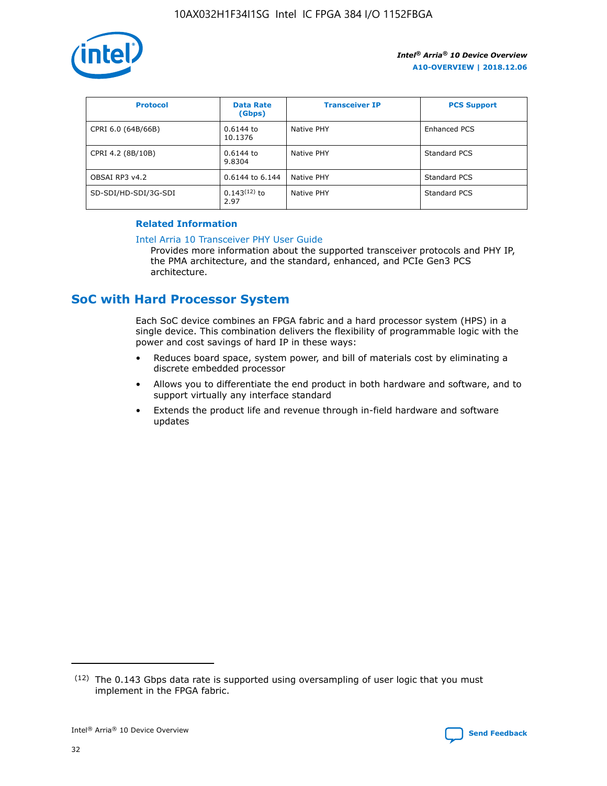

| <b>Protocol</b>      | <b>Data Rate</b><br>(Gbps) | <b>Transceiver IP</b> | <b>PCS Support</b> |
|----------------------|----------------------------|-----------------------|--------------------|
| CPRI 6.0 (64B/66B)   | 0.6144 to<br>10.1376       | Native PHY            | Enhanced PCS       |
| CPRI 4.2 (8B/10B)    | $0.6144$ to<br>9.8304      | Native PHY            | Standard PCS       |
| OBSAI RP3 v4.2       | 0.6144 to 6.144            | Native PHY            | Standard PCS       |
| SD-SDI/HD-SDI/3G-SDI | $0.143(12)$ to<br>2.97     | Native PHY            | Standard PCS       |

### **Related Information**

#### [Intel Arria 10 Transceiver PHY User Guide](https://www.intel.com/content/www/us/en/programmable/documentation/nik1398707230472.html#nik1398707091164)

Provides more information about the supported transceiver protocols and PHY IP, the PMA architecture, and the standard, enhanced, and PCIe Gen3 PCS architecture.

### **SoC with Hard Processor System**

Each SoC device combines an FPGA fabric and a hard processor system (HPS) in a single device. This combination delivers the flexibility of programmable logic with the power and cost savings of hard IP in these ways:

- Reduces board space, system power, and bill of materials cost by eliminating a discrete embedded processor
- Allows you to differentiate the end product in both hardware and software, and to support virtually any interface standard
- Extends the product life and revenue through in-field hardware and software updates

 $(12)$  The 0.143 Gbps data rate is supported using oversampling of user logic that you must implement in the FPGA fabric.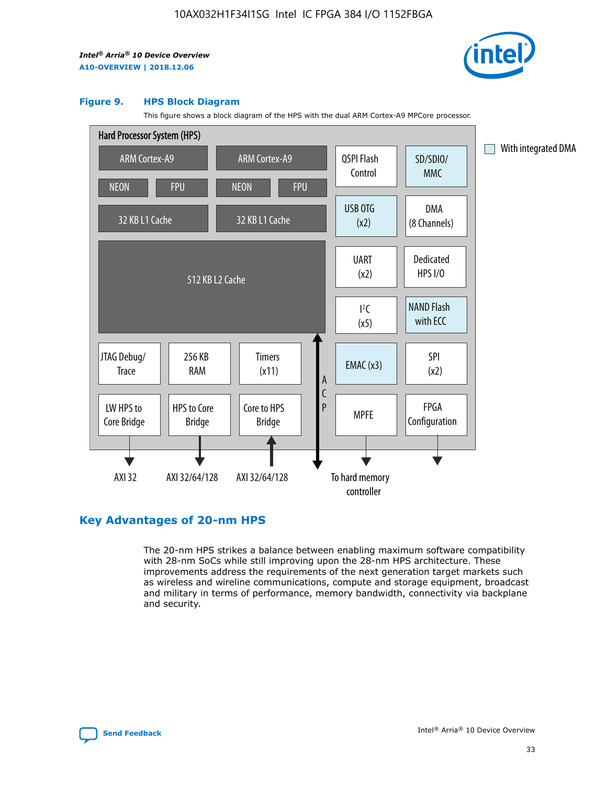

#### **Figure 9. HPS Block Diagram**

This figure shows a block diagram of the HPS with the dual ARM Cortex-A9 MPCore processor.



### **Key Advantages of 20-nm HPS**

The 20-nm HPS strikes a balance between enabling maximum software compatibility with 28-nm SoCs while still improving upon the 28-nm HPS architecture. These improvements address the requirements of the next generation target markets such as wireless and wireline communications, compute and storage equipment, broadcast and military in terms of performance, memory bandwidth, connectivity via backplane and security.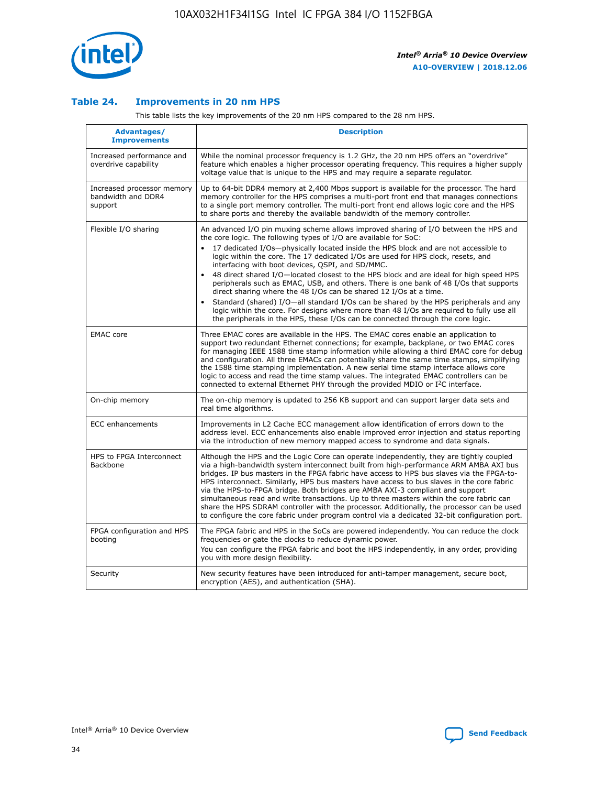

### **Table 24. Improvements in 20 nm HPS**

This table lists the key improvements of the 20 nm HPS compared to the 28 nm HPS.

| Advantages/<br><b>Improvements</b>                          | <b>Description</b>                                                                                                                                                                                                                                                                                                                                                                                                                                                                                                                                                                                                                                                                                                                                                                                                                                                                                                                                |
|-------------------------------------------------------------|---------------------------------------------------------------------------------------------------------------------------------------------------------------------------------------------------------------------------------------------------------------------------------------------------------------------------------------------------------------------------------------------------------------------------------------------------------------------------------------------------------------------------------------------------------------------------------------------------------------------------------------------------------------------------------------------------------------------------------------------------------------------------------------------------------------------------------------------------------------------------------------------------------------------------------------------------|
| Increased performance and<br>overdrive capability           | While the nominal processor frequency is 1.2 GHz, the 20 nm HPS offers an "overdrive"<br>feature which enables a higher processor operating frequency. This requires a higher supply<br>voltage value that is unique to the HPS and may require a separate regulator.                                                                                                                                                                                                                                                                                                                                                                                                                                                                                                                                                                                                                                                                             |
| Increased processor memory<br>bandwidth and DDR4<br>support | Up to 64-bit DDR4 memory at 2,400 Mbps support is available for the processor. The hard<br>memory controller for the HPS comprises a multi-port front end that manages connections<br>to a single port memory controller. The multi-port front end allows logic core and the HPS<br>to share ports and thereby the available bandwidth of the memory controller.                                                                                                                                                                                                                                                                                                                                                                                                                                                                                                                                                                                  |
| Flexible I/O sharing                                        | An advanced I/O pin muxing scheme allows improved sharing of I/O between the HPS and<br>the core logic. The following types of I/O are available for SoC:<br>$\bullet$<br>17 dedicated I/Os-physically located inside the HPS block and are not accessible to<br>logic within the core. The 17 dedicated I/Os are used for HPS clock, resets, and<br>interfacing with boot devices, QSPI, and SD/MMC.<br>48 direct shared I/O-located closest to the HPS block and are ideal for high speed HPS<br>$\bullet$<br>peripherals such as EMAC, USB, and others. There is one bank of 48 I/Os that supports<br>direct sharing where the 48 I/Os can be shared 12 I/Os at a time.<br>Standard (shared) I/O-all standard I/Os can be shared by the HPS peripherals and any<br>logic within the core. For designs where more than 48 I/Os are required to fully use all<br>the peripherals in the HPS, these I/Os can be connected through the core logic. |
| <b>EMAC</b> core                                            | Three EMAC cores are available in the HPS. The EMAC cores enable an application to<br>support two redundant Ethernet connections; for example, backplane, or two EMAC cores<br>for managing IEEE 1588 time stamp information while allowing a third EMAC core for debug<br>and configuration. All three EMACs can potentially share the same time stamps, simplifying<br>the 1588 time stamping implementation. A new serial time stamp interface allows core<br>logic to access and read the time stamp values. The integrated EMAC controllers can be<br>connected to external Ethernet PHY through the provided MDIO or I <sup>2</sup> C interface.                                                                                                                                                                                                                                                                                            |
| On-chip memory                                              | The on-chip memory is updated to 256 KB support and can support larger data sets and<br>real time algorithms.                                                                                                                                                                                                                                                                                                                                                                                                                                                                                                                                                                                                                                                                                                                                                                                                                                     |
| <b>ECC</b> enhancements                                     | Improvements in L2 Cache ECC management allow identification of errors down to the<br>address level. ECC enhancements also enable improved error injection and status reporting<br>via the introduction of new memory mapped access to syndrome and data signals.                                                                                                                                                                                                                                                                                                                                                                                                                                                                                                                                                                                                                                                                                 |
| HPS to FPGA Interconnect<br>Backbone                        | Although the HPS and the Logic Core can operate independently, they are tightly coupled<br>via a high-bandwidth system interconnect built from high-performance ARM AMBA AXI bus<br>bridges. IP bus masters in the FPGA fabric have access to HPS bus slaves via the FPGA-to-<br>HPS interconnect. Similarly, HPS bus masters have access to bus slaves in the core fabric<br>via the HPS-to-FPGA bridge. Both bridges are AMBA AXI-3 compliant and support<br>simultaneous read and write transactions. Up to three masters within the core fabric can<br>share the HPS SDRAM controller with the processor. Additionally, the processor can be used<br>to configure the core fabric under program control via a dedicated 32-bit configuration port.                                                                                                                                                                                            |
| FPGA configuration and HPS<br>booting                       | The FPGA fabric and HPS in the SoCs are powered independently. You can reduce the clock<br>frequencies or gate the clocks to reduce dynamic power.<br>You can configure the FPGA fabric and boot the HPS independently, in any order, providing<br>you with more design flexibility.                                                                                                                                                                                                                                                                                                                                                                                                                                                                                                                                                                                                                                                              |
| Security                                                    | New security features have been introduced for anti-tamper management, secure boot,<br>encryption (AES), and authentication (SHA).                                                                                                                                                                                                                                                                                                                                                                                                                                                                                                                                                                                                                                                                                                                                                                                                                |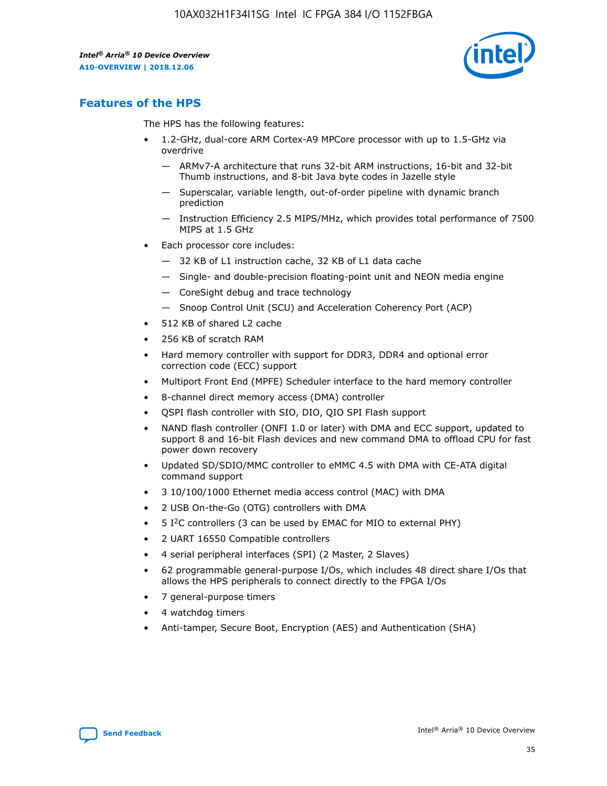

### **Features of the HPS**

The HPS has the following features:

- 1.2-GHz, dual-core ARM Cortex-A9 MPCore processor with up to 1.5-GHz via overdrive
	- ARMv7-A architecture that runs 32-bit ARM instructions, 16-bit and 32-bit Thumb instructions, and 8-bit Java byte codes in Jazelle style
	- Superscalar, variable length, out-of-order pipeline with dynamic branch prediction
	- Instruction Efficiency 2.5 MIPS/MHz, which provides total performance of 7500 MIPS at 1.5 GHz
- Each processor core includes:
	- 32 KB of L1 instruction cache, 32 KB of L1 data cache
	- Single- and double-precision floating-point unit and NEON media engine
	- CoreSight debug and trace technology
	- Snoop Control Unit (SCU) and Acceleration Coherency Port (ACP)
- 512 KB of shared L2 cache
- 256 KB of scratch RAM
- Hard memory controller with support for DDR3, DDR4 and optional error correction code (ECC) support
- Multiport Front End (MPFE) Scheduler interface to the hard memory controller
- 8-channel direct memory access (DMA) controller
- QSPI flash controller with SIO, DIO, QIO SPI Flash support
- NAND flash controller (ONFI 1.0 or later) with DMA and ECC support, updated to support 8 and 16-bit Flash devices and new command DMA to offload CPU for fast power down recovery
- Updated SD/SDIO/MMC controller to eMMC 4.5 with DMA with CE-ATA digital command support
- 3 10/100/1000 Ethernet media access control (MAC) with DMA
- 2 USB On-the-Go (OTG) controllers with DMA
- $\bullet$  5 I<sup>2</sup>C controllers (3 can be used by EMAC for MIO to external PHY)
- 2 UART 16550 Compatible controllers
- 4 serial peripheral interfaces (SPI) (2 Master, 2 Slaves)
- 62 programmable general-purpose I/Os, which includes 48 direct share I/Os that allows the HPS peripherals to connect directly to the FPGA I/Os
- 7 general-purpose timers
- 4 watchdog timers
- Anti-tamper, Secure Boot, Encryption (AES) and Authentication (SHA)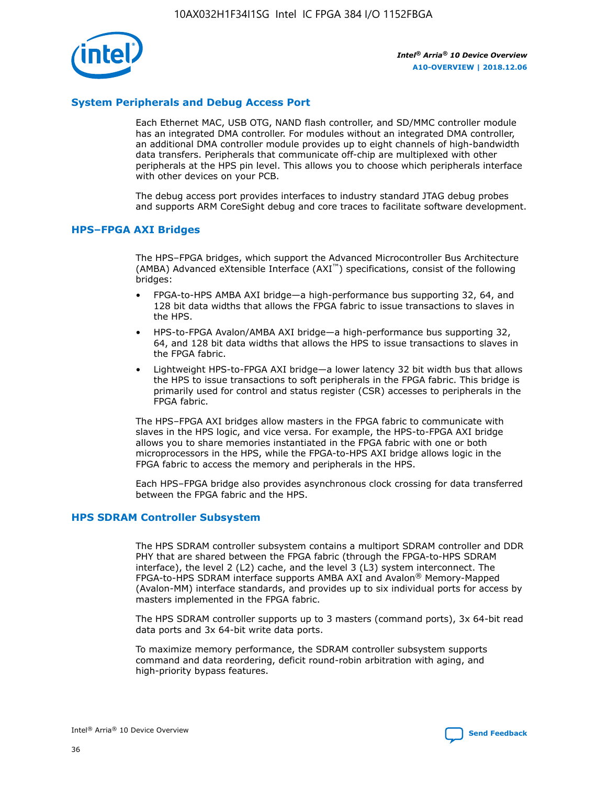

### **System Peripherals and Debug Access Port**

Each Ethernet MAC, USB OTG, NAND flash controller, and SD/MMC controller module has an integrated DMA controller. For modules without an integrated DMA controller, an additional DMA controller module provides up to eight channels of high-bandwidth data transfers. Peripherals that communicate off-chip are multiplexed with other peripherals at the HPS pin level. This allows you to choose which peripherals interface with other devices on your PCB.

The debug access port provides interfaces to industry standard JTAG debug probes and supports ARM CoreSight debug and core traces to facilitate software development.

#### **HPS–FPGA AXI Bridges**

The HPS–FPGA bridges, which support the Advanced Microcontroller Bus Architecture (AMBA) Advanced eXtensible Interface (AXI™) specifications, consist of the following bridges:

- FPGA-to-HPS AMBA AXI bridge—a high-performance bus supporting 32, 64, and 128 bit data widths that allows the FPGA fabric to issue transactions to slaves in the HPS.
- HPS-to-FPGA Avalon/AMBA AXI bridge—a high-performance bus supporting 32, 64, and 128 bit data widths that allows the HPS to issue transactions to slaves in the FPGA fabric.
- Lightweight HPS-to-FPGA AXI bridge—a lower latency 32 bit width bus that allows the HPS to issue transactions to soft peripherals in the FPGA fabric. This bridge is primarily used for control and status register (CSR) accesses to peripherals in the FPGA fabric.

The HPS–FPGA AXI bridges allow masters in the FPGA fabric to communicate with slaves in the HPS logic, and vice versa. For example, the HPS-to-FPGA AXI bridge allows you to share memories instantiated in the FPGA fabric with one or both microprocessors in the HPS, while the FPGA-to-HPS AXI bridge allows logic in the FPGA fabric to access the memory and peripherals in the HPS.

Each HPS–FPGA bridge also provides asynchronous clock crossing for data transferred between the FPGA fabric and the HPS.

#### **HPS SDRAM Controller Subsystem**

The HPS SDRAM controller subsystem contains a multiport SDRAM controller and DDR PHY that are shared between the FPGA fabric (through the FPGA-to-HPS SDRAM interface), the level 2 (L2) cache, and the level 3 (L3) system interconnect. The FPGA-to-HPS SDRAM interface supports AMBA AXI and Avalon® Memory-Mapped (Avalon-MM) interface standards, and provides up to six individual ports for access by masters implemented in the FPGA fabric.

The HPS SDRAM controller supports up to 3 masters (command ports), 3x 64-bit read data ports and 3x 64-bit write data ports.

To maximize memory performance, the SDRAM controller subsystem supports command and data reordering, deficit round-robin arbitration with aging, and high-priority bypass features.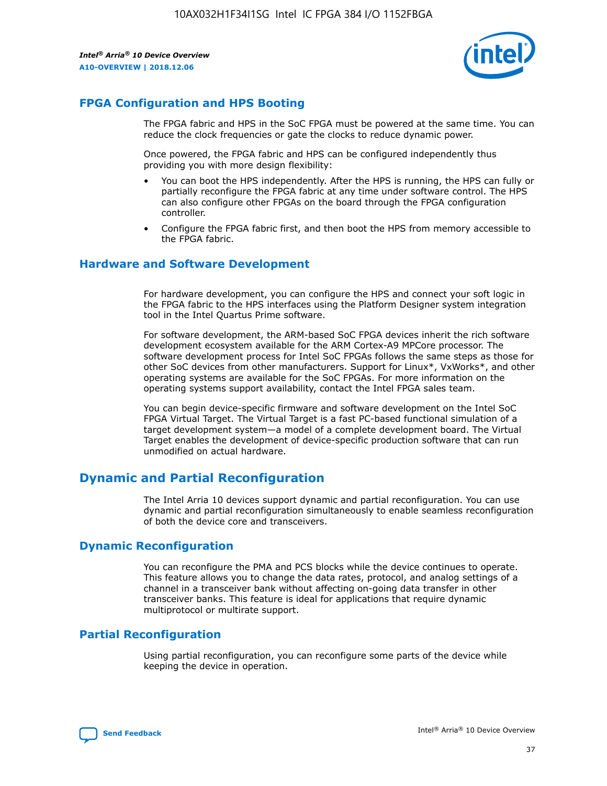

### **FPGA Configuration and HPS Booting**

The FPGA fabric and HPS in the SoC FPGA must be powered at the same time. You can reduce the clock frequencies or gate the clocks to reduce dynamic power.

Once powered, the FPGA fabric and HPS can be configured independently thus providing you with more design flexibility:

- You can boot the HPS independently. After the HPS is running, the HPS can fully or partially reconfigure the FPGA fabric at any time under software control. The HPS can also configure other FPGAs on the board through the FPGA configuration controller.
- Configure the FPGA fabric first, and then boot the HPS from memory accessible to the FPGA fabric.

### **Hardware and Software Development**

For hardware development, you can configure the HPS and connect your soft logic in the FPGA fabric to the HPS interfaces using the Platform Designer system integration tool in the Intel Quartus Prime software.

For software development, the ARM-based SoC FPGA devices inherit the rich software development ecosystem available for the ARM Cortex-A9 MPCore processor. The software development process for Intel SoC FPGAs follows the same steps as those for other SoC devices from other manufacturers. Support for Linux\*, VxWorks\*, and other operating systems are available for the SoC FPGAs. For more information on the operating systems support availability, contact the Intel FPGA sales team.

You can begin device-specific firmware and software development on the Intel SoC FPGA Virtual Target. The Virtual Target is a fast PC-based functional simulation of a target development system—a model of a complete development board. The Virtual Target enables the development of device-specific production software that can run unmodified on actual hardware.

### **Dynamic and Partial Reconfiguration**

The Intel Arria 10 devices support dynamic and partial reconfiguration. You can use dynamic and partial reconfiguration simultaneously to enable seamless reconfiguration of both the device core and transceivers.

### **Dynamic Reconfiguration**

You can reconfigure the PMA and PCS blocks while the device continues to operate. This feature allows you to change the data rates, protocol, and analog settings of a channel in a transceiver bank without affecting on-going data transfer in other transceiver banks. This feature is ideal for applications that require dynamic multiprotocol or multirate support.

### **Partial Reconfiguration**

Using partial reconfiguration, you can reconfigure some parts of the device while keeping the device in operation.

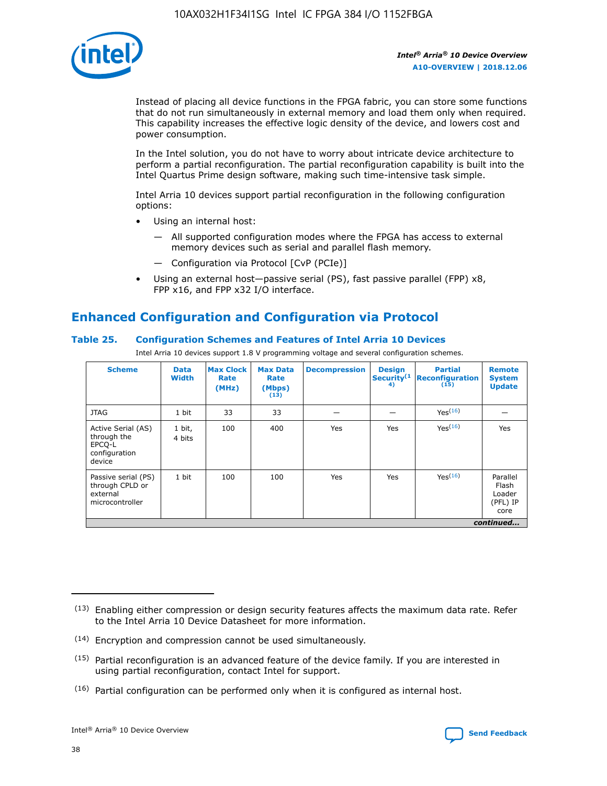

Instead of placing all device functions in the FPGA fabric, you can store some functions that do not run simultaneously in external memory and load them only when required. This capability increases the effective logic density of the device, and lowers cost and power consumption.

In the Intel solution, you do not have to worry about intricate device architecture to perform a partial reconfiguration. The partial reconfiguration capability is built into the Intel Quartus Prime design software, making such time-intensive task simple.

Intel Arria 10 devices support partial reconfiguration in the following configuration options:

- Using an internal host:
	- All supported configuration modes where the FPGA has access to external memory devices such as serial and parallel flash memory.
	- Configuration via Protocol [CvP (PCIe)]
- Using an external host—passive serial (PS), fast passive parallel (FPP) x8, FPP x16, and FPP x32 I/O interface.

### **Enhanced Configuration and Configuration via Protocol**

### **Table 25. Configuration Schemes and Features of Intel Arria 10 Devices**

Intel Arria 10 devices support 1.8 V programming voltage and several configuration schemes.

| <b>Scheme</b>                                                          | <b>Data</b><br><b>Width</b> | <b>Max Clock</b><br>Rate<br>(MHz) | <b>Max Data</b><br>Rate<br>(Mbps)<br>(13) | <b>Decompression</b> | <b>Design</b><br>Security <sup>(1</sup><br>4) | <b>Partial</b><br>Reconfiguration<br>(15) | <b>Remote</b><br><b>System</b><br><b>Update</b> |
|------------------------------------------------------------------------|-----------------------------|-----------------------------------|-------------------------------------------|----------------------|-----------------------------------------------|-------------------------------------------|-------------------------------------------------|
| <b>JTAG</b>                                                            | 1 bit                       | 33                                | 33                                        |                      |                                               | Yes(16)                                   |                                                 |
| Active Serial (AS)<br>through the<br>EPCO-L<br>configuration<br>device | 1 bit,<br>4 bits            | 100                               | 400                                       | Yes                  | Yes                                           | Yes(16)                                   | Yes                                             |
| Passive serial (PS)<br>through CPLD or<br>external<br>microcontroller  | 1 bit                       | 100                               | 100                                       | Yes                  | Yes                                           | Yes <sup>(16)</sup>                       | Parallel<br>Flash<br>Loader<br>(PFL) IP<br>core |
|                                                                        |                             |                                   |                                           |                      |                                               |                                           | continued                                       |

<sup>(13)</sup> Enabling either compression or design security features affects the maximum data rate. Refer to the Intel Arria 10 Device Datasheet for more information.

<sup>(14)</sup> Encryption and compression cannot be used simultaneously.

 $(15)$  Partial reconfiguration is an advanced feature of the device family. If you are interested in using partial reconfiguration, contact Intel for support.

 $(16)$  Partial configuration can be performed only when it is configured as internal host.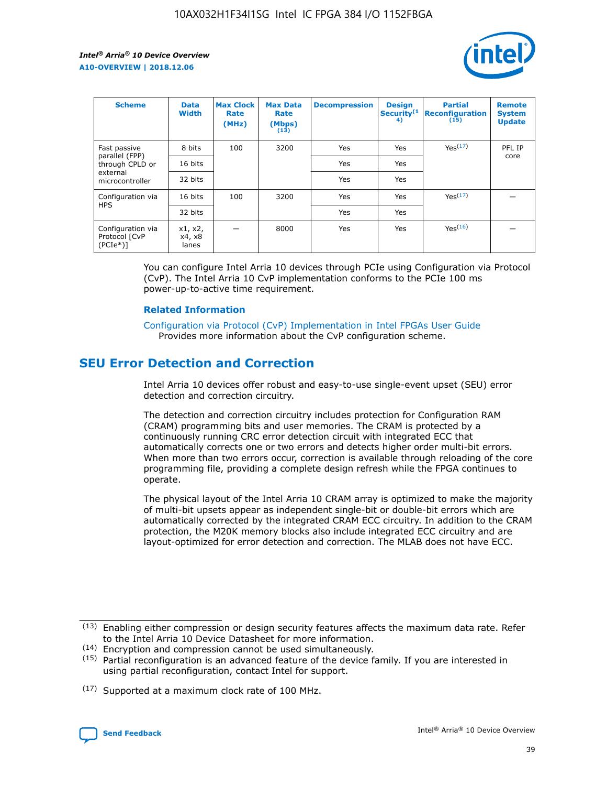

| <b>Scheme</b>                                   | <b>Data</b><br><b>Width</b> | <b>Max Clock</b><br>Rate<br>(MHz) | <b>Max Data</b><br>Rate<br>(Mbps)<br>(13) | <b>Decompression</b> | <b>Design</b><br>Security <sup>(1</sup><br>4) | <b>Partial</b><br><b>Reconfiguration</b><br>(15) | <b>Remote</b><br><b>System</b><br><b>Update</b> |
|-------------------------------------------------|-----------------------------|-----------------------------------|-------------------------------------------|----------------------|-----------------------------------------------|--------------------------------------------------|-------------------------------------------------|
| Fast passive                                    | 8 bits                      | 100                               | 3200                                      | Yes                  | Yes                                           | Yes(17)                                          | PFL IP                                          |
| parallel (FPP)<br>through CPLD or               | 16 bits                     |                                   |                                           | Yes                  | Yes                                           |                                                  | core                                            |
| external<br>microcontroller                     | 32 bits                     |                                   |                                           | Yes                  | Yes                                           |                                                  |                                                 |
| Configuration via                               | 16 bits                     | 100                               | 3200                                      | Yes                  | Yes                                           | Yes <sup>(17)</sup>                              |                                                 |
| <b>HPS</b>                                      | 32 bits                     |                                   |                                           | Yes                  | Yes                                           |                                                  |                                                 |
| Configuration via<br>Protocol [CvP<br>$(PCIe*)$ | x1, x2,<br>x4, x8<br>lanes  |                                   | 8000                                      | Yes                  | Yes                                           | Yes <sup>(16)</sup>                              |                                                 |

You can configure Intel Arria 10 devices through PCIe using Configuration via Protocol (CvP). The Intel Arria 10 CvP implementation conforms to the PCIe 100 ms power-up-to-active time requirement.

#### **Related Information**

[Configuration via Protocol \(CvP\) Implementation in Intel FPGAs User Guide](https://www.intel.com/content/www/us/en/programmable/documentation/dsu1441819344145.html#dsu1442269728522) Provides more information about the CvP configuration scheme.

### **SEU Error Detection and Correction**

Intel Arria 10 devices offer robust and easy-to-use single-event upset (SEU) error detection and correction circuitry.

The detection and correction circuitry includes protection for Configuration RAM (CRAM) programming bits and user memories. The CRAM is protected by a continuously running CRC error detection circuit with integrated ECC that automatically corrects one or two errors and detects higher order multi-bit errors. When more than two errors occur, correction is available through reloading of the core programming file, providing a complete design refresh while the FPGA continues to operate.

The physical layout of the Intel Arria 10 CRAM array is optimized to make the majority of multi-bit upsets appear as independent single-bit or double-bit errors which are automatically corrected by the integrated CRAM ECC circuitry. In addition to the CRAM protection, the M20K memory blocks also include integrated ECC circuitry and are layout-optimized for error detection and correction. The MLAB does not have ECC.

(14) Encryption and compression cannot be used simultaneously.

<sup>(17)</sup> Supported at a maximum clock rate of 100 MHz.



 $(13)$  Enabling either compression or design security features affects the maximum data rate. Refer to the Intel Arria 10 Device Datasheet for more information.

 $(15)$  Partial reconfiguration is an advanced feature of the device family. If you are interested in using partial reconfiguration, contact Intel for support.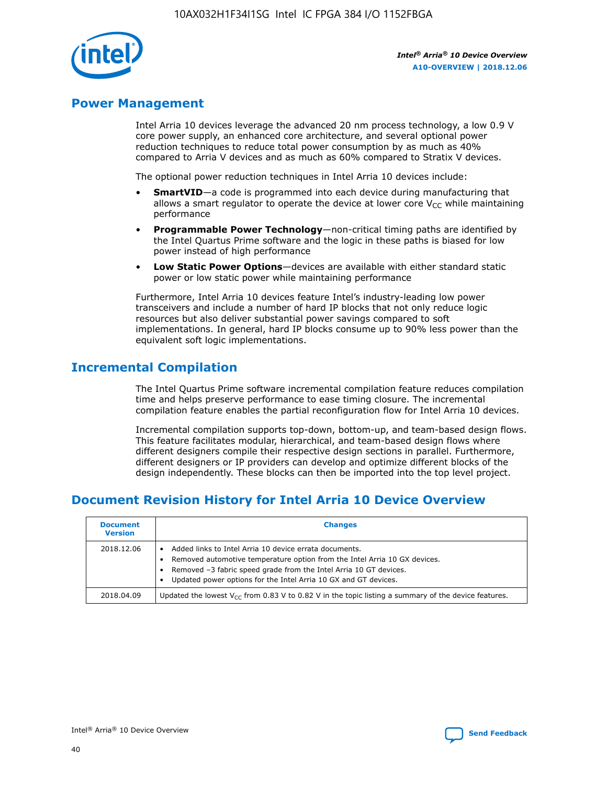

### **Power Management**

Intel Arria 10 devices leverage the advanced 20 nm process technology, a low 0.9 V core power supply, an enhanced core architecture, and several optional power reduction techniques to reduce total power consumption by as much as 40% compared to Arria V devices and as much as 60% compared to Stratix V devices.

The optional power reduction techniques in Intel Arria 10 devices include:

- **SmartVID**—a code is programmed into each device during manufacturing that allows a smart regulator to operate the device at lower core  $V_{CC}$  while maintaining performance
- **Programmable Power Technology**—non-critical timing paths are identified by the Intel Quartus Prime software and the logic in these paths is biased for low power instead of high performance
- **Low Static Power Options**—devices are available with either standard static power or low static power while maintaining performance

Furthermore, Intel Arria 10 devices feature Intel's industry-leading low power transceivers and include a number of hard IP blocks that not only reduce logic resources but also deliver substantial power savings compared to soft implementations. In general, hard IP blocks consume up to 90% less power than the equivalent soft logic implementations.

### **Incremental Compilation**

The Intel Quartus Prime software incremental compilation feature reduces compilation time and helps preserve performance to ease timing closure. The incremental compilation feature enables the partial reconfiguration flow for Intel Arria 10 devices.

Incremental compilation supports top-down, bottom-up, and team-based design flows. This feature facilitates modular, hierarchical, and team-based design flows where different designers compile their respective design sections in parallel. Furthermore, different designers or IP providers can develop and optimize different blocks of the design independently. These blocks can then be imported into the top level project.

### **Document Revision History for Intel Arria 10 Device Overview**

| <b>Document</b><br><b>Version</b> | <b>Changes</b>                                                                                                                                                                                                                                                              |
|-----------------------------------|-----------------------------------------------------------------------------------------------------------------------------------------------------------------------------------------------------------------------------------------------------------------------------|
| 2018.12.06                        | Added links to Intel Arria 10 device errata documents.<br>Removed automotive temperature option from the Intel Arria 10 GX devices.<br>Removed -3 fabric speed grade from the Intel Arria 10 GT devices.<br>Updated power options for the Intel Arria 10 GX and GT devices. |
| 2018.04.09                        | Updated the lowest $V_{CC}$ from 0.83 V to 0.82 V in the topic listing a summary of the device features.                                                                                                                                                                    |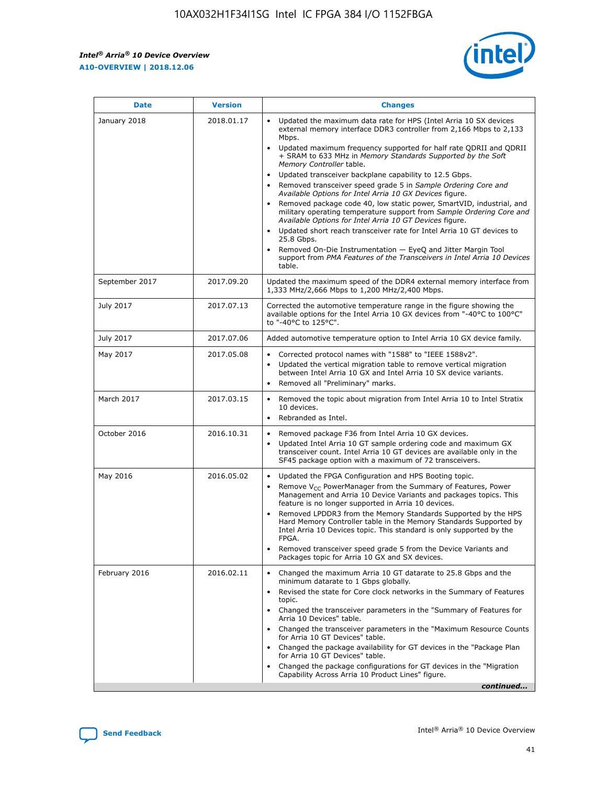*Intel® Arria® 10 Device Overview* **A10-OVERVIEW | 2018.12.06**



| <b>Date</b>    | <b>Version</b> | <b>Changes</b>                                                                                                                                                                                                                                                                                                                                                                                                                                                                                                                                                                                                                                                                                                                                                                                                                                                                                                                                                            |
|----------------|----------------|---------------------------------------------------------------------------------------------------------------------------------------------------------------------------------------------------------------------------------------------------------------------------------------------------------------------------------------------------------------------------------------------------------------------------------------------------------------------------------------------------------------------------------------------------------------------------------------------------------------------------------------------------------------------------------------------------------------------------------------------------------------------------------------------------------------------------------------------------------------------------------------------------------------------------------------------------------------------------|
| January 2018   | 2018.01.17     | Updated the maximum data rate for HPS (Intel Arria 10 SX devices<br>external memory interface DDR3 controller from 2,166 Mbps to 2,133<br>Mbps.<br>Updated maximum frequency supported for half rate QDRII and QDRII<br>+ SRAM to 633 MHz in Memory Standards Supported by the Soft<br>Memory Controller table.<br>Updated transceiver backplane capability to 12.5 Gbps.<br>$\bullet$<br>Removed transceiver speed grade 5 in Sample Ordering Core and<br>Available Options for Intel Arria 10 GX Devices figure.<br>Removed package code 40, low static power, SmartVID, industrial, and<br>military operating temperature support from Sample Ordering Core and<br>Available Options for Intel Arria 10 GT Devices figure.<br>Updated short reach transceiver rate for Intel Arria 10 GT devices to<br>25.8 Gbps.<br>Removed On-Die Instrumentation - EyeQ and Jitter Margin Tool<br>support from PMA Features of the Transceivers in Intel Arria 10 Devices<br>table. |
| September 2017 | 2017.09.20     | Updated the maximum speed of the DDR4 external memory interface from<br>1,333 MHz/2,666 Mbps to 1,200 MHz/2,400 Mbps.                                                                                                                                                                                                                                                                                                                                                                                                                                                                                                                                                                                                                                                                                                                                                                                                                                                     |
| July 2017      | 2017.07.13     | Corrected the automotive temperature range in the figure showing the<br>available options for the Intel Arria 10 GX devices from "-40°C to 100°C"<br>to "-40°C to 125°C".                                                                                                                                                                                                                                                                                                                                                                                                                                                                                                                                                                                                                                                                                                                                                                                                 |
| July 2017      | 2017.07.06     | Added automotive temperature option to Intel Arria 10 GX device family.                                                                                                                                                                                                                                                                                                                                                                                                                                                                                                                                                                                                                                                                                                                                                                                                                                                                                                   |
| May 2017       | 2017.05.08     | Corrected protocol names with "1588" to "IEEE 1588v2".<br>Updated the vertical migration table to remove vertical migration<br>between Intel Arria 10 GX and Intel Arria 10 SX device variants.<br>Removed all "Preliminary" marks.                                                                                                                                                                                                                                                                                                                                                                                                                                                                                                                                                                                                                                                                                                                                       |
| March 2017     | 2017.03.15     | Removed the topic about migration from Intel Arria 10 to Intel Stratix<br>10 devices.<br>Rebranded as Intel.<br>$\bullet$                                                                                                                                                                                                                                                                                                                                                                                                                                                                                                                                                                                                                                                                                                                                                                                                                                                 |
| October 2016   | 2016.10.31     | Removed package F36 from Intel Arria 10 GX devices.<br>Updated Intel Arria 10 GT sample ordering code and maximum GX<br>$\bullet$<br>transceiver count. Intel Arria 10 GT devices are available only in the<br>SF45 package option with a maximum of 72 transceivers.                                                                                                                                                                                                                                                                                                                                                                                                                                                                                                                                                                                                                                                                                                     |
| May 2016       | 2016.05.02     | Updated the FPGA Configuration and HPS Booting topic.<br>Remove V <sub>CC</sub> PowerManager from the Summary of Features, Power<br>Management and Arria 10 Device Variants and packages topics. This<br>feature is no longer supported in Arria 10 devices.<br>Removed LPDDR3 from the Memory Standards Supported by the HPS<br>Hard Memory Controller table in the Memory Standards Supported by<br>Intel Arria 10 Devices topic. This standard is only supported by the<br>FPGA.<br>Removed transceiver speed grade 5 from the Device Variants and<br>Packages topic for Arria 10 GX and SX devices.                                                                                                                                                                                                                                                                                                                                                                   |
| February 2016  | 2016.02.11     | Changed the maximum Arria 10 GT datarate to 25.8 Gbps and the<br>minimum datarate to 1 Gbps globally.<br>Revised the state for Core clock networks in the Summary of Features<br>$\bullet$<br>topic.<br>Changed the transceiver parameters in the "Summary of Features for<br>Arria 10 Devices" table.<br>• Changed the transceiver parameters in the "Maximum Resource Counts<br>for Arria 10 GT Devices" table.<br>• Changed the package availability for GT devices in the "Package Plan<br>for Arria 10 GT Devices" table.<br>Changed the package configurations for GT devices in the "Migration"<br>Capability Across Arria 10 Product Lines" figure.<br>continued                                                                                                                                                                                                                                                                                                  |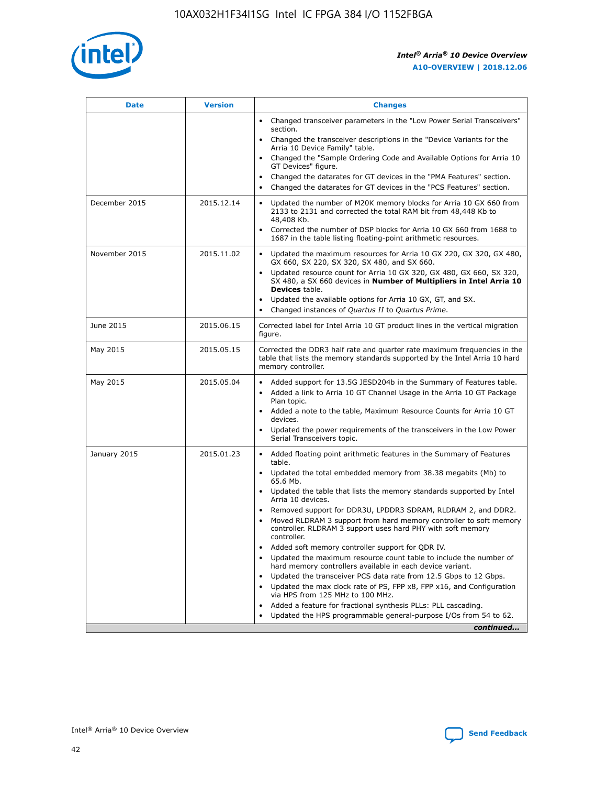

| <b>Date</b>   | <b>Version</b> | <b>Changes</b>                                                                                                                                                               |
|---------------|----------------|------------------------------------------------------------------------------------------------------------------------------------------------------------------------------|
|               |                | • Changed transceiver parameters in the "Low Power Serial Transceivers"<br>section.                                                                                          |
|               |                | • Changed the transceiver descriptions in the "Device Variants for the<br>Arria 10 Device Family" table.                                                                     |
|               |                | Changed the "Sample Ordering Code and Available Options for Arria 10<br>$\bullet$<br>GT Devices" figure.                                                                     |
|               |                | Changed the datarates for GT devices in the "PMA Features" section.                                                                                                          |
|               |                | Changed the datarates for GT devices in the "PCS Features" section.<br>$\bullet$                                                                                             |
| December 2015 | 2015.12.14     | Updated the number of M20K memory blocks for Arria 10 GX 660 from<br>2133 to 2131 and corrected the total RAM bit from 48,448 Kb to<br>48,408 Kb.                            |
|               |                | Corrected the number of DSP blocks for Arria 10 GX 660 from 1688 to<br>1687 in the table listing floating-point arithmetic resources.                                        |
| November 2015 | 2015.11.02     | Updated the maximum resources for Arria 10 GX 220, GX 320, GX 480,<br>$\bullet$<br>GX 660, SX 220, SX 320, SX 480, and SX 660.                                               |
|               |                | • Updated resource count for Arria 10 GX 320, GX 480, GX 660, SX 320,<br>SX 480, a SX 660 devices in Number of Multipliers in Intel Arria 10<br><b>Devices</b> table.        |
|               |                | Updated the available options for Arria 10 GX, GT, and SX.                                                                                                                   |
|               |                | Changed instances of Quartus II to Quartus Prime.<br>$\bullet$                                                                                                               |
| June 2015     | 2015.06.15     | Corrected label for Intel Arria 10 GT product lines in the vertical migration<br>figure.                                                                                     |
| May 2015      | 2015.05.15     | Corrected the DDR3 half rate and quarter rate maximum frequencies in the<br>table that lists the memory standards supported by the Intel Arria 10 hard<br>memory controller. |
| May 2015      | 2015.05.04     | • Added support for 13.5G JESD204b in the Summary of Features table.                                                                                                         |
|               |                | • Added a link to Arria 10 GT Channel Usage in the Arria 10 GT Package<br>Plan topic.                                                                                        |
|               |                | • Added a note to the table, Maximum Resource Counts for Arria 10 GT<br>devices.                                                                                             |
|               |                | • Updated the power requirements of the transceivers in the Low Power<br>Serial Transceivers topic.                                                                          |
| January 2015  | 2015.01.23     | • Added floating point arithmetic features in the Summary of Features<br>table.                                                                                              |
|               |                | • Updated the total embedded memory from 38.38 megabits (Mb) to<br>65.6 Mb.                                                                                                  |
|               |                | • Updated the table that lists the memory standards supported by Intel<br>Arria 10 devices.                                                                                  |
|               |                | Removed support for DDR3U, LPDDR3 SDRAM, RLDRAM 2, and DDR2.                                                                                                                 |
|               |                | Moved RLDRAM 3 support from hard memory controller to soft memory<br>controller. RLDRAM 3 support uses hard PHY with soft memory<br>controller.                              |
|               |                | Added soft memory controller support for QDR IV.<br>٠                                                                                                                        |
|               |                | Updated the maximum resource count table to include the number of<br>hard memory controllers available in each device variant.                                               |
|               |                | Updated the transceiver PCS data rate from 12.5 Gbps to 12 Gbps.<br>$\bullet$                                                                                                |
|               |                | Updated the max clock rate of PS, FPP x8, FPP x16, and Configuration<br>via HPS from 125 MHz to 100 MHz.                                                                     |
|               |                | Added a feature for fractional synthesis PLLs: PLL cascading.                                                                                                                |
|               |                | Updated the HPS programmable general-purpose I/Os from 54 to 62.<br>$\bullet$                                                                                                |
|               |                | continued                                                                                                                                                                    |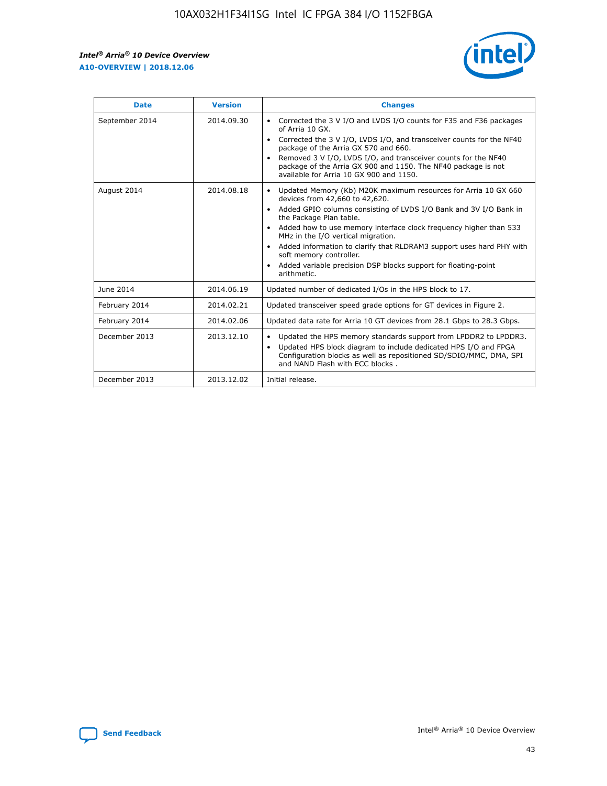r



| <b>Date</b>    | <b>Version</b> | <b>Changes</b>                                                                                                                                                                                                                                                                                                                                                                                                                                                                                                                         |
|----------------|----------------|----------------------------------------------------------------------------------------------------------------------------------------------------------------------------------------------------------------------------------------------------------------------------------------------------------------------------------------------------------------------------------------------------------------------------------------------------------------------------------------------------------------------------------------|
| September 2014 | 2014.09.30     | Corrected the 3 V I/O and LVDS I/O counts for F35 and F36 packages<br>of Arria 10 GX.<br>Corrected the 3 V I/O, LVDS I/O, and transceiver counts for the NF40<br>$\bullet$<br>package of the Arria GX 570 and 660.<br>Removed 3 V I/O, LVDS I/O, and transceiver counts for the NF40<br>package of the Arria GX 900 and 1150. The NF40 package is not<br>available for Arria 10 GX 900 and 1150.                                                                                                                                       |
| August 2014    | 2014.08.18     | Updated Memory (Kb) M20K maximum resources for Arria 10 GX 660<br>devices from 42,660 to 42,620.<br>Added GPIO columns consisting of LVDS I/O Bank and 3V I/O Bank in<br>$\bullet$<br>the Package Plan table.<br>Added how to use memory interface clock frequency higher than 533<br>$\bullet$<br>MHz in the I/O vertical migration.<br>Added information to clarify that RLDRAM3 support uses hard PHY with<br>$\bullet$<br>soft memory controller.<br>Added variable precision DSP blocks support for floating-point<br>arithmetic. |
| June 2014      | 2014.06.19     | Updated number of dedicated I/Os in the HPS block to 17.                                                                                                                                                                                                                                                                                                                                                                                                                                                                               |
| February 2014  | 2014.02.21     | Updated transceiver speed grade options for GT devices in Figure 2.                                                                                                                                                                                                                                                                                                                                                                                                                                                                    |
| February 2014  | 2014.02.06     | Updated data rate for Arria 10 GT devices from 28.1 Gbps to 28.3 Gbps.                                                                                                                                                                                                                                                                                                                                                                                                                                                                 |
| December 2013  | 2013.12.10     | Updated the HPS memory standards support from LPDDR2 to LPDDR3.<br>Updated HPS block diagram to include dedicated HPS I/O and FPGA<br>$\bullet$<br>Configuration blocks as well as repositioned SD/SDIO/MMC, DMA, SPI<br>and NAND Flash with ECC blocks.                                                                                                                                                                                                                                                                               |
| December 2013  | 2013.12.02     | Initial release.                                                                                                                                                                                                                                                                                                                                                                                                                                                                                                                       |